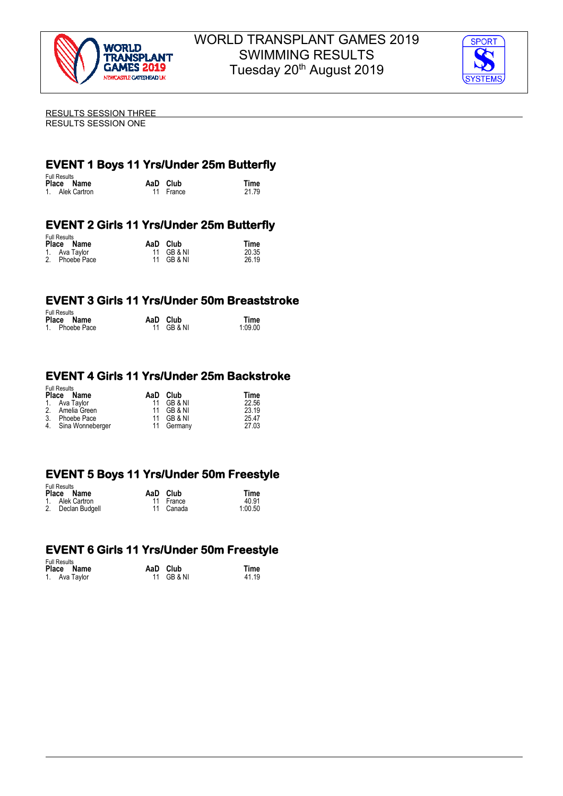



#### RESULTS SESSION THREE RESULTS SESSION ONE

## **EVENT 1 Boys 11 Yrs/Under 25m Butterfly**

| <b>Full Results</b> |           |       |
|---------------------|-----------|-------|
| Place Name          | AaD Club  | Time  |
| 1. Alek Cartron     | 11 France | 21.79 |

### **EVENT 2 Girls 11 Yrs/Under 25m Butterfly**

| <b>Full Results</b> |            |       |
|---------------------|------------|-------|
| Place Name          | AaD Club   | Time  |
| 1. Ava Taylor       | 11 GB & NI | 20.35 |
| 2. Phoebe Pace      | 11 GB & NI | 26.19 |

### **EVENT 3 Girls 11 Yrs/Under 50m Breaststroke**

| <b>Full Results</b> |            |         |
|---------------------|------------|---------|
| Place Name          | AaD Club   | Time    |
| 1. Phoebe Pace      | 11 GB & NI | 1:09.00 |

### **EVENT 4 Girls 11 Yrs/Under 25m Backstroke**

| <b>Full Results</b><br>Place Name | AaD Club   | Time  |
|-----------------------------------|------------|-------|
| 1. Ava Taylor                     | 11 GB & NI | 22.56 |
| 2. Amelia Green                   | 11 GB & NI | 23.19 |
| 3. Phoebe Pace                    | 11 GB & NI | 25.47 |
| 4. Sina Wonneberger               | 11 Germany | 27.03 |

## **EVENT 5 Boys 11 Yrs/Under 50m Freestyle**

| <b>Full Results</b> |                   |  |           |         |  |  |  |
|---------------------|-------------------|--|-----------|---------|--|--|--|
|                     | Place Name        |  | AaD Club  | Time    |  |  |  |
|                     | 1. Alek Cartron   |  | 11 France | 40.91   |  |  |  |
|                     | 2. Declan Budgell |  | 11 Canada | 1:00.50 |  |  |  |

### **EVENT 6 Girls 11 Yrs/Under 50m Freestyle**

| <b>Full Results</b> |            |       |
|---------------------|------------|-------|
| Place Name          | AaD Club   | Time  |
| 1. Ava Taylor       | 11 GB & NI | 41.19 |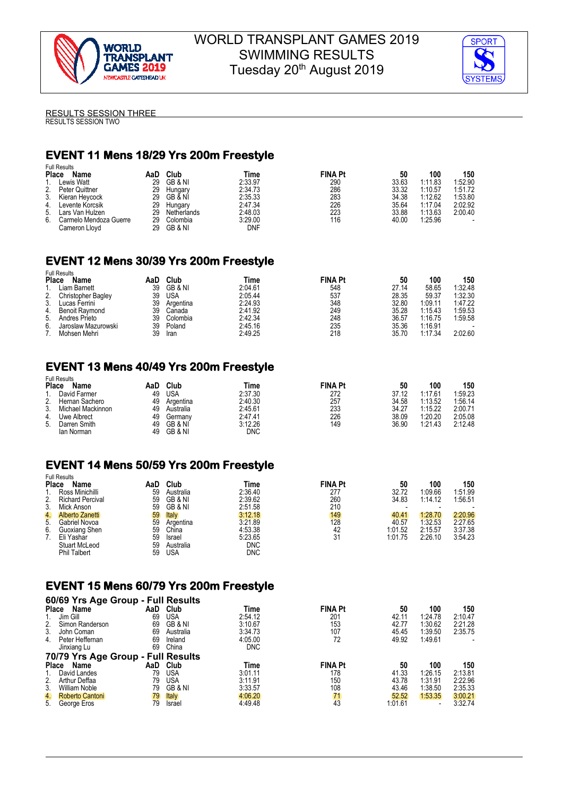

# WORLD TRANSPLANT GAMES 2019 SWIMMING RESULTS Tuesday 20<sup>th</sup> August 2019



#### RESULTS SESSION THREE RESULTS SESSION TWO

## **EVENT 11 Mens 18/29 Yrs 200m Freestyle**

|              | <b>Full Results</b>    |     |                    |         |                |       |         |         |
|--------------|------------------------|-----|--------------------|---------|----------------|-------|---------|---------|
| <b>Place</b> | Name                   | AaD | Club               | Гіmе    | <b>FINA Pt</b> | 50    | 100     | 150     |
|              | Lewis Watt             | 29  | GB & NI            | 2:33.97 | 290            | 33.63 | 1:11.83 | 1:52.90 |
| 2.           | Peter Quittner         | 29  | Hungary            | 2:34.73 | 286            | 33.32 | 1:10.57 | 1:51.72 |
| 3.           | Kieran Hevcock         | 29  | GB & NÌ            | 2:35.33 | 283            | 34.38 | 1:12.62 | 1:53.80 |
| 4.           | Levente Korcsik        | 29  | Hungary            | 2:47.34 | 226            | 35.64 | 1:17.04 | 2:02.92 |
| 5.           | Lars Van Hulzen        | 29  | <b>Netherlands</b> | 2:48.03 | 223            | 33.88 | 1:13.63 | 2:00.40 |
| 6.           | Carmelo Mendoza Guerre | 29  | Colombia           | 3:29.00 | 116            | 40.00 | 1:25.96 |         |
|              | Cameron Llovd          | 29  | GB & NI            | DNF     |                |       |         |         |

# **EVENT 12 Mens 30/39 Yrs 200m Freestyle**

| <b>Place</b> | <b>Full Results</b><br>Name | AaD | Club       | Time    | <b>FINA Pt</b> | 50    | 100     | 150                      |
|--------------|-----------------------------|-----|------------|---------|----------------|-------|---------|--------------------------|
| 1.           | Liam Barnett                | 39  | GB & NI    | 2:04.61 | 548            | 27.14 | 58.65   | 1:32.48                  |
| 2.           | Christopher Bagley          | 39  | <b>USA</b> | 2:05.44 | 537            | 28.35 | 59.37   | 1:32.30                  |
| 3.           | Lucas Ferrini               | 39  | Argentina  | 2:24.93 | 348            | 32.80 | 1:09.11 | 1:47.22                  |
|              | 4. Benoit Raymond           | 39  | Canada     | 2:41.92 | 249            | 35.28 | 1:15.43 | 1:59.53                  |
| 5.           | Andres Prieto               | 39  | Colombia   | 2:42.34 | 248            | 36.57 | 1:16.75 | 1:59.58                  |
| 6.           | Jaroslaw Mazurowski         | 39  | Poland     | 2:45.16 | 235            | 35.36 | 1:16.91 | $\overline{\phantom{0}}$ |
| 7.           | Mohsen Mehri                | 39  | Iran       | 2:49.25 | 218            | 35.70 | 1:17.34 | 2:02.60                  |

#### **EVENT 13 Mens 40/49 Yrs 200m Freestyle**  Full Results

| <b>Place</b> | Name              | AaD | Club       | Time    | <b>FINA Pt</b> | 50    | 100     | 150     |
|--------------|-------------------|-----|------------|---------|----------------|-------|---------|---------|
|              | David Farmer      | 49  | <b>USA</b> | 2:37.30 | 272            | 37.12 | 1:17.61 | 1:59.23 |
| 2.           | Hernan Sachero    | 49  | Argentina  | 2:40.30 | 257            | 34.58 | 1:13.52 | 1:56.14 |
| 3.           | Michael Mackinnon | 49  | Australia  | 2:45.61 | 233            | 34.27 | 1:15.22 | 2:00.71 |
| 4.           | Uwe Albrect       | 49  | Germany    | 2:47.41 | 226            | 38.09 | 1:20.20 | 2:05.08 |
| 5.           | Darren Smith      | 49  | GB & NI    | 3:12.26 | 149            | 36.90 | 1:21.43 | 2:12.48 |
|              | lan Norman        | 49  | GB & NI    | DNC     |                |       |         |         |

## **EVENT 14 Mens 50/59 Yrs 200m Freestyle**

|                  | <b>Full Results</b>     |     |               |            |                |         |         |         |
|------------------|-------------------------|-----|---------------|------------|----------------|---------|---------|---------|
|                  | <b>Place</b><br>Name    | AaD | Club          | Time       | <b>FINA Pt</b> | 50      | 100     | 150     |
|                  | Ross Minichilli         | 59  | Australia     | 2:36.40    | 277            | 32.72   | 1:09.66 | 1:51.99 |
| 2.               | <b>Richard Percival</b> | 59  | GB & NI       | 2:39.62    | 260            | 34.83   | 1:14.12 | 1:56.51 |
| 3.               | Mick Anson              | 59  | GB & NI       | 2:51.58    | 210            |         |         |         |
| $\overline{4}$ . | Alberto Zanetti         | 59  | Italy         | 3:12.18    | 149            | 40.41   | 1:28.70 | 2:20.96 |
| 5 <sub>1</sub>   | <b>Gabriel Novoa</b>    | 59  | Argentina     | 3:21.89    | 128            | 40.57   | 1:32.53 | 2:27.65 |
| 6.               | Guoxiang Shen           | 59  | China         | 4:53.38    | 42             | 1:01.52 | 2:15.57 | 3:37.38 |
|                  | Eli Yashar              | 59  | <b>Israel</b> | 5:23.65    | 31             | 1:01.75 | 2:26.10 | 3:54.23 |
|                  | <b>Stuart McLeod</b>    | 59  | Australia     | <b>DNC</b> |                |         |         |         |
|                  | <b>Phil Talbert</b>     | 59  | <b>USA</b>    | DNC        |                |         |         |         |

## **EVENT 15 Mens 60/79 Yrs 200m Freestyle**

| 60/69 Yrs Age Group - Full Results |          |              |                    |                 |       |         |                          |
|------------------------------------|----------|--------------|--------------------|-----------------|-------|---------|--------------------------|
| <b>Place</b><br>Name               | AaD      | Club         | Time               | <b>FINA Pt</b>  | 50    | 100     | 150                      |
| Jim Gill                           | 69       | <b>USA</b>   | 2:54.12            | 201             | 42.11 | 1:24.78 | 2:10.47                  |
| Simon Randerson<br>2.              | 69       | GB & NI      | 3:10.67            | 153             | 42.77 | 1:30.62 | 2:21.28                  |
| 3.<br>John Coman                   | 69       | Australia    | 3:34.73            | 107             | 45.45 | 1:39.50 | 2:35.75                  |
| Peter Heffernan<br>4.              | 69       | Ireland      | 4:05.00            | 72              | 49.92 | 1:49.61 | $\overline{\phantom{a}}$ |
| Jinxiang Lu                        | 69       | China        | <b>DNC</b>         |                 |       |         |                          |
| 70/79 Yrs Age Group - Full Results |          |              |                    |                 |       |         |                          |
|                                    |          |              |                    |                 |       |         |                          |
| Name<br><b>Place</b>               | AaD      | Club         | Time               | <b>FINA Pt</b>  | 50    | 100     | 150                      |
| David Landes                       | 79       | USA          | 3:01.11            | 178             | 41.33 | 1:26.15 | 2:13.81                  |
| Arthur Deffaa<br>2.                | 79       | <b>USA</b>   | 3:11.91            | 150             | 43.78 | 1:31.91 | 2:22.96                  |
| 3.<br><b>William Noble</b>         | 79       | GB & NI      | 3:33.57            | 108             | 43.46 | 1:38.50 | 2:35.33                  |
| Roberto Cantoni<br>4.<br>5.        | 79<br>79 | <b>Italy</b> | 4:06.20<br>4:49.48 | $\frac{71}{43}$ | 52.52 | 1:53.35 | 3:00.21<br>3:32.74       |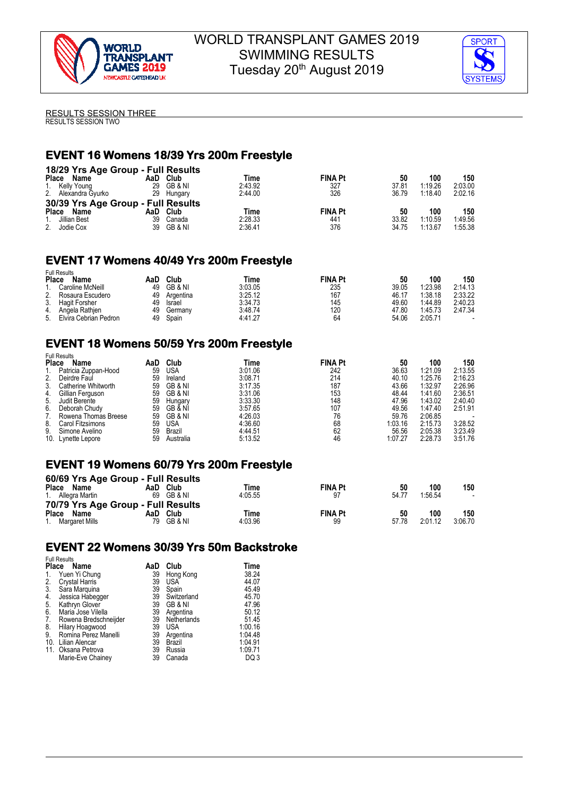



#### RESULTS SESSION THREE RESULTS SESSION TWO

# **EVENT 16 Womens 18/39 Yrs 200m Freestyle**

| 18/29 Yrs Age Group - Full Results |     |         |         |                |       |         |         |
|------------------------------------|-----|---------|---------|----------------|-------|---------|---------|
| <b>Place</b><br>Name               | AaD | Club    | Time    | <b>FINA Pt</b> | 50    | 100     | 150     |
| 1. Kelly Young                     | 29  | GB & NI | 2:43.92 | 327            | 37.81 | 1:19.26 | 2:03.00 |
| 2. Alexandra Gyurko                | 29  | Hungary | 2:44.00 | 326            | 36.79 | 1:18.40 | 2:02.16 |
| 30/39 Yrs Age Group - Full Results |     |         |         |                |       |         |         |
| Place<br>Name                      | AaD | Club    | Time    | <b>FINA Pt</b> | 50    | 100     | 150     |
| 1. Jillian Best                    | 39  | Canada  | 2:28.33 | 441            | 33.82 | 1:10.59 | 1:49.56 |
| 2 <sub>1</sub><br>Jodie Cox        | 39  | GB & NI | 2:36.41 | 376            | 34.75 | 1:13.67 | 1:55.38 |

## **EVENT 17 Womens 40/49 Yrs 200m Freestyle**

| <b>Place</b> | <b>Full Results</b><br>Name | AaD | Club      | Time    | <b>FINA Pt</b> | 50    | 100     | 150     |
|--------------|-----------------------------|-----|-----------|---------|----------------|-------|---------|---------|
| 1.           | Caroline McNeill            | 49  | GB & NI   | 3:03.05 | 235            | 39.05 | 1:23.98 | 2:14.13 |
| 2.           | Rosaura Escudero            | 49  | Argentina | 3:25.12 | 167            | 46.17 | 1:38.18 | 2:33.22 |
| 3.           | <b>Hagit Forsher</b>        | 49  | Israel    | 3:34.73 | 145            | 49.60 | 1:44.89 | 2:40.23 |
| 4.           | Angela Rathien              | 49  | Germany   | 3:48.74 | 120            | 47.80 | 1:45.73 | 2:47.34 |
|              | 5. Elvira Cebrian Pedron    | 49  | Spain     | 4:41.27 | 64             | 54.06 | 2:05.71 |         |

# **EVENT 18 Womens 50/59 Yrs 200m Freestyle**

|              | <b>Full Results</b>  |     |            |         | <b>FINA Pt</b> |         |         |         |
|--------------|----------------------|-----|------------|---------|----------------|---------|---------|---------|
| <b>Place</b> | Name                 | AaD | Club       | Time    |                | 50      | 100     | 150     |
|              | Patricia Zuppan-Hood | 59  | <b>USA</b> | 3:01.06 | 242            | 36.63   | 1:21.09 | 2:13.55 |
| 2.           | Deirdre Faul         | 59  | Ireland    | 3:08.71 | 214            | 40.10   | 1:25.76 | 2:16.23 |
| 3.           | Catherine Whitworth  | 59  | GB & NI    | 3:17.35 | 187            | 43.66   | 1:32.97 | 2:26.96 |
| 4.           | Gillian Ferguson     | 59  | GB & NI    | 3:31.06 | 153            | 48.44   | 1:41.60 | 2:36.51 |
| 5.           | Judit Berente        | 59  | Hungary    | 3:33.30 | 148            | 47.96   | 1:43.02 | 2:40.40 |
| 6.           | Deborah Chudy        | 59  | GB & NI    | 3:57.65 | 107            | 49.56   | 1:47.40 | 2:51.91 |
|              | Rowena Thomas Breese | 59  | GB & NI    | 4:26.03 | 76             | 59.76   | 2:06.85 |         |
| 8.           | Carol Fitzsimons     | 59  | <b>USA</b> | 4:36.60 | 68             | 1:03.16 | 2:15.73 | 3:28.52 |
| 9.           | Simone Avelino       | 59  | Brazil     | 4:44.51 | 62             | 56.56   | 2:05.38 | 3:23.49 |
| 10.          | Lynette Lepore       | 59  | Australia  | 5:13.52 | 46             | 1:07.27 | 2:28.73 | 3:51.76 |

## **EVENT 19 Womens 60/79 Yrs 200m Freestyle**

|                   | 60/69 Yrs Age Group - Full Results |     |         |         |                |       |         |                          |
|-------------------|------------------------------------|-----|---------|---------|----------------|-------|---------|--------------------------|
| Place Name        |                                    | AaD | Club    | Time    | <b>FINA Pt</b> | 50    | 100     | 150                      |
| 1. Allegra Martin |                                    | 69  | GB & NI | 4:05.55 | 97             | 54.77 | 1:56.54 | $\overline{\phantom{a}}$ |
|                   | 70/79 Yrs Age Group - Full Results |     |         |         |                |       |         |                          |
| Place             | Name                               | AaD | Club    | Time    | <b>FINA Pt</b> | 50    | 100     | 150                      |
| 1. Margaret Mills |                                    | 79. | GB & NI | 4:03.96 | 99             | 57.78 | 2:01.12 | 3:06.70                  |

## **EVENT 22 Womens 30/39 Yrs 50m Backstroke**

|                       | <b>Full Results</b>   |          |             |         |
|-----------------------|-----------------------|----------|-------------|---------|
|                       | Place Name            | AaD      | Club        | Time    |
| 1.                    | Yuen Yi Chung         | 39       | Hong Kong   | 38.24   |
| 2.                    | <b>Crystal Harris</b> | 39       | <b>USA</b>  | 44.07   |
| $\frac{3}{4}$ .<br>5. | Sara Marquina         | 39<br>39 | Spain       | 45.49   |
|                       | Jessica Habegger      |          | Switzerland | 45.70   |
|                       | Kathryn Glover        | 39       | GB & NI     | 47.96   |
| 6.                    | Maria Jose Vilella    | 39<br>39 | Argentina   | 50.12   |
| 7.                    | Rowena Bredschneijder |          | Netherlands | 51.45   |
| 8.                    | Hilary Hoagwood       | 39       | USA         | 1:00.16 |
| 9.                    | Romina Perez Manelli  | 39<br>39 | Argentina   | 1:04.48 |
|                       | 10. Lilian Alencar    |          | Brazil      | 1:04.91 |
|                       | 11. Oksana Petrova    | 39       | Russia      | 1:09.71 |
|                       | Marie-Eve Chainey     | 39       | Canada      | DQ 3    |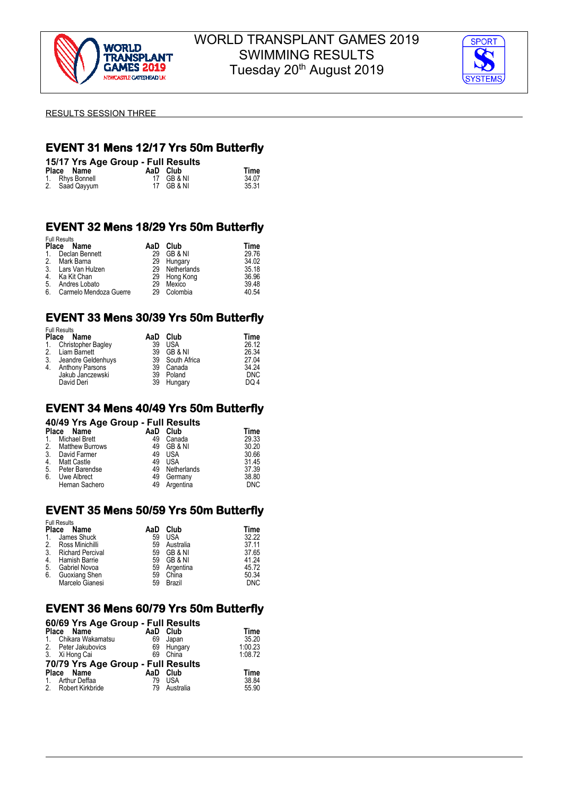



## **EVENT 31 Mens 12/17 Yrs 50m Butterfly**

| 15/17 Yrs Age Group - Full Results |                 |  |            |       |  |
|------------------------------------|-----------------|--|------------|-------|--|
|                                    | Place Name      |  | AaD Club   | Time  |  |
|                                    | 1. Rhys Bonnell |  | 17 GB & NI | 34.07 |  |
|                                    | 2. Saad Qayyum  |  | 17 GB & NI | 35.31 |  |

## **EVENT 32 Mens 18/29 Yrs 50m Butterfly**

|             | <b>Full Results</b>       |     |                |       |
|-------------|---------------------------|-----|----------------|-------|
| Place Name  |                           | AaD | Club           | Time  |
| $1_{\cdot}$ | Declan Bennett            | 29  | GB & NI        | 29.76 |
|             | 2. Mark Barna             |     | 29 Hungary     | 34.02 |
|             | 3. Lars Van Hulzen        |     | 29 Netherlands | 35.18 |
|             | 4. Ka Kit Chan            |     | 29 Hong Kong   | 36.96 |
| 5.          | Andres Lobato             | 29  | Mexico         | 39.48 |
|             | 6. Carmelo Mendoza Guerre |     | 29 Colombia    | 40.54 |

## **EVENT 33 Mens 30/39 Yrs 50m Butterfly**

| <b>Full Results</b>   |                                             |      |                                                                    |
|-----------------------|---------------------------------------------|------|--------------------------------------------------------------------|
| Place Name            | AaD                                         | Club | Time                                                               |
| 1. Christopher Bagley | 39                                          | USA  | 26.12                                                              |
| 2. Liam Barnett       |                                             |      | 26.34                                                              |
|                       |                                             |      | 27.04                                                              |
|                       | 39                                          |      | 34.24                                                              |
| Jakub Janczewski      |                                             |      | <b>DNC</b>                                                         |
| David Deri            |                                             |      | DQ 4                                                               |
|                       | 3. Jeandre Geldenhuys<br>4. Anthony Parsons |      | 39 GB & NI<br>39 South Africa<br>Canada<br>39 Poland<br>39 Hungary |

### **EVENT 34 Mens 40/49 Yrs 50m Butterfly**

|            |  |              | 40/49 Yrs Age Group - Full Results |
|------------|--|--------------|------------------------------------|
| Dissa Nama |  | $\mathbf{A}$ |                                    |

| Place Name         |    | Club      | Time        |
|--------------------|----|-----------|-------------|
| Michael Brett      | 49 | Canada    | 29.33       |
| 2. Matthew Burrows | 49 | GB & NI   | 30.20       |
| 3. David Farmer    | 49 | USA       | 30.66       |
| Matt Castle        | 49 | USA       | 31.45       |
| 5. Peter Barendse  | 49 |           | 37.39       |
| Uwe Albrect        | 49 | Germany   | 38.80       |
| Hernan Sachero     | 49 | Argentina | DNC         |
|                    |    | AaD       | Netherlands |

### **EVENT 35 Mens 50/59 Yrs 50m Butterfly**

| Place Name          | AaD                 | Club       | Time  |
|---------------------|---------------------|------------|-------|
| 1. James Shuck      | 59                  | <b>USA</b> | 32.22 |
| 2. Ross Minichilli  | 59                  | Australia  | 37.11 |
| 3. Richard Percival | 59                  | GB & NI    | 37.65 |
| Hamish Barrie       | 59                  | GB & NI    | 41.24 |
| Gabriel Novoa       | 59                  | Argentina  | 45.72 |
| Guoxiang Shen       | 59                  | China      | 50.34 |
| Marcelo Gianesi     | 59                  | Brazil     | DNC   |
|                     | <b>Full Results</b> |            |       |

## **EVENT 36 Mens 60/79 Yrs 50m Butterfly**

| 60/69 Yrs Age Group - Full Results |    |            |         |
|------------------------------------|----|------------|---------|
| Place Name                         |    | AaD Club   | Time    |
| 1. Chikara Wakamatsu               | 69 | Japan      | 35.20   |
| 2. Peter Jakubovics                |    | 69 Hungary | 1:00.23 |
| 3. Xi Hong Cai                     | 69 | China      | 1:08.72 |
| 70/79 Yrs Age Group - Full Results |    |            |         |
| Place Name                         |    | AaD Club   | Time    |
| 1. Arthur Deffaa                   | 79 | <b>USA</b> | 38.84   |
| 2. Robert Kirkbride                | 79 | Australia  | 55.90   |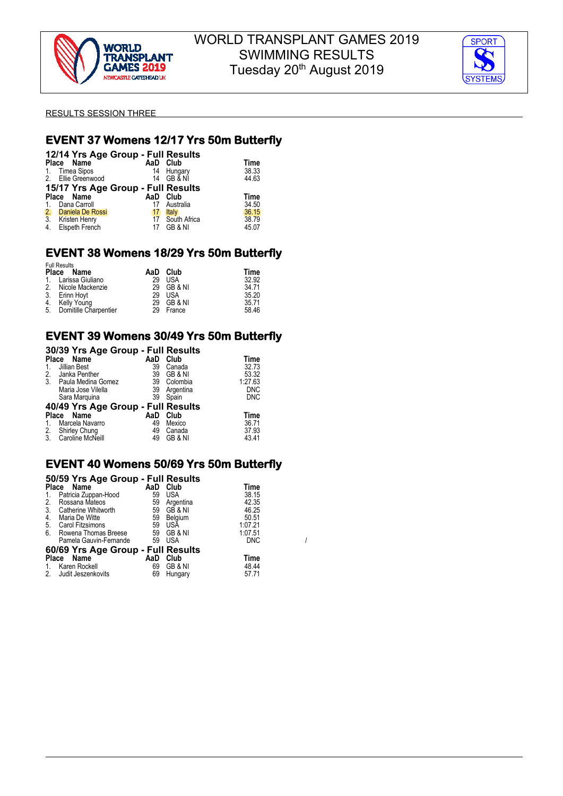



## **EVENT 37 Womens 12/17 Yrs 50m Butterfly**

|                                         | 12/14 Yrs Age Group - Full Results |                 |             |
|-----------------------------------------|------------------------------------|-----------------|-------------|
| Place Name                              | AaD Club                           |                 | <b>Time</b> |
| 1. Timea Sipos<br>2. Ellie Greenwood    |                                    | 14 Hungary      | 38.33       |
|                                         | 14                                 | GB & NÌ         | 44.63       |
|                                         | 15/17 Yrs Age Group - Full Results |                 |             |
| Place Name                              | AaD Club                           |                 | <b>Time</b> |
| 1. Dana Carroll                         | 17                                 | Australia       | 34.50       |
| 2. Daniela De Rossi<br>3. Kristen Henry | 17                                 | <b>Italy</b>    | 36.15       |
|                                         |                                    | 17 South Africa | 38.79       |
| 4. Elspeth French                       |                                    | 17 GB & NI      | 45.07       |

## **EVENT 38 Womens 18/29 Yrs 50m Butterfly**

| <b>Full Results</b><br>Place Name |                          |    | AaD Club   | Time  |
|-----------------------------------|--------------------------|----|------------|-------|
|                                   | 1. Larissa Giuliano      | 29 | <b>USA</b> | 32.92 |
|                                   | 2. Nicole Mackenzie      |    | 29 GB & NI | 34.71 |
|                                   | 3. Erinn Hoyt            | 29 | <b>USA</b> | 35.20 |
|                                   | 4. Kelly Young           | 29 | GB & NI    | 35.71 |
|                                   | 5. Domitille Charpentier | 29 | France     | 58.46 |

## **EVENT 39 Womens 30/49 Yrs 50m Butterfly**

#### **30/39 Yrs Age Group - Full Results**

|                 | $-0.0001$ $-0.00001$ $-0.0000$     |     | ----------- |            |
|-----------------|------------------------------------|-----|-------------|------------|
|                 | Place<br>Name                      | AaD | Club        | Time       |
| 1.              | Jillian Best                       | 39  | Canada      | 32.73      |
| 2.              | Janka Penther                      | 39  | GB & NI     | 53.32      |
| 3.              | Paula Medina Gomez                 | 39  | Colombia    | 1:27.63    |
|                 | Maria Jose Vilella                 | 39  | Argentina   | <b>DNC</b> |
|                 | Sara Marquina                      | 39  | Spain       | <b>DNC</b> |
|                 | 40/49 Yrs Age Group - Full Results |     |             |            |
|                 | Place<br>Name                      | AaD | Club        | Time       |
| 1.              | Marcela Navarro                    | 49  | Mexico      | 36.71      |
| $\frac{2}{3}$ . | Shirley Chung                      | 49  | Canada      | 37.93      |
|                 | Caroline McNeill                   | 49  | GB & NI     | 43.41      |
|                 |                                    |     |             |            |

## **EVENT 40 Womens 50/69 Yrs 50m Butterfly**

|              | 50/59 Yrs Age Group - Full Results |     |            |            |  |  |
|--------------|------------------------------------|-----|------------|------------|--|--|
|              | Place Name                         | AaD | Club       | Time       |  |  |
|              | 1. Patricia Zuppan-Hood            | 59  | <b>USA</b> | 38.15      |  |  |
| 2.           | Rossana Mateos                     | 59  | Argentina  | 42.35      |  |  |
| 3.           | Catherine Whitworth                | 59  | GB & NI    | 46.25      |  |  |
| 4.           | Maria De Witte                     | 59  | Belgium    | 50.51      |  |  |
|              | 5. Carol Fitzsimons                | 59  | USĂ        | 1:07.21    |  |  |
|              | 6. Rowena Thomas Breese            |     | 59 GB & NI | 1:07.51    |  |  |
|              | Pamela Gauvin-Fernande 59          |     | <b>USA</b> | <b>DNC</b> |  |  |
|              | 60/69 Yrs Age Group - Full Results |     |            |            |  |  |
| <b>Place</b> | Name                               | AaD | Club       | Time       |  |  |
| $1_{-}$      | Karen Rockell                      | 69  | GB & NI    | 48.44      |  |  |
|              | 2. Judit Jeszenkovits              | 69  | Hungary    | 57.71      |  |  |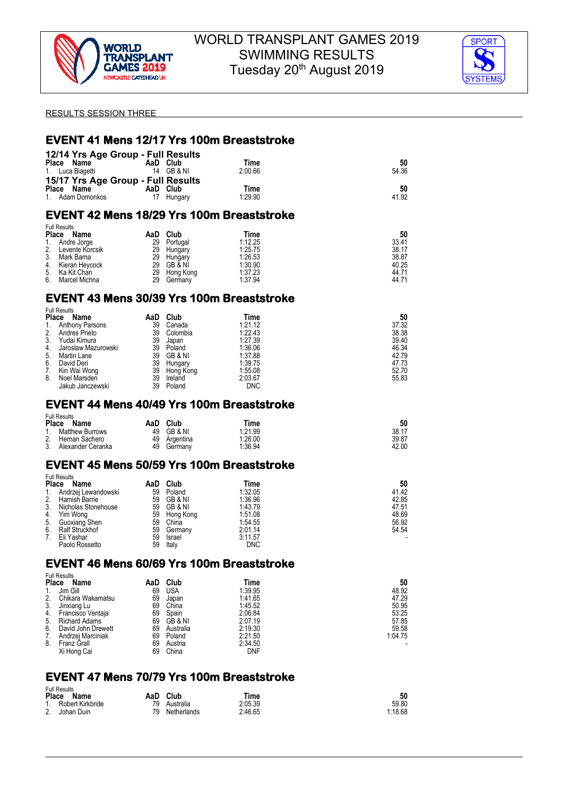



## **EVENT 41 Mens 12/17 Yrs 100m Breaststroke**

| 12/14 Yrs Age Group - Full Results |            |         |       |
|------------------------------------|------------|---------|-------|
| Place<br>Name                      | AaD Club   | Time    | 50    |
| 1. Luca Biagetti                   | 14 GB & NI | 2:00.66 | 54.36 |
| 15/17 Yrs Age Group - Full Results |            |         |       |
| <b>Place</b><br>Name               | AaD Club   | Time    | 50    |
| 1. Adam Domonkos                   | Hungary    | 1:29.90 | 41.92 |

#### **EVENT 42 Mens 18/29 Yrs 100m Breaststroke**  Full Results

| ี นแ เ งษมเม          |                 |         |       |
|-----------------------|-----------------|---------|-------|
| <b>Place</b><br>Name  | Club<br>AaD     | Time    | 50    |
| 1.<br>Andre Jorge     | 29<br>Portugal  | 1:12.25 | 33.41 |
| 2.<br>Levente Korcsik | 29 Hungary      | 1:25.75 | 38.17 |
| 3.<br>Mark Barna      | 29<br>Hungary   | 1:26.53 | 38.87 |
| 4.<br>Kieran Heycock  | 29<br>GB & NI   | 1:30.90 | 40.25 |
| 5. Ka Kit Chan        | 29<br>Hong Kong | 1:37.23 | 44.71 |
| 6.<br>Marcel Michna   | 29<br>Germany   | 1:37.94 | 44.71 |
|                       |                 |         |       |

### **EVENT 43 Mens 30/39 Yrs 100m Breaststroke**

|              | <b>Full Results</b>    |     |           |            |       |
|--------------|------------------------|-----|-----------|------------|-------|
| <b>Place</b> | Name                   | AaD | Club      | Time       | 50    |
| 1.           | <b>Anthony Parsons</b> | 39  | Canada    | 1:21.12    | 37.32 |
| 2.           | Andres Prieto          | 39  | Colombia  | 1:22.43    | 38.38 |
| 3.           | Yudai Kimura           | 39  | Japan     | 1:27.39    | 39.40 |
| 4.           | Jaroslaw Mazurowski    | 39  | Poland    | 1:36.06    | 46.34 |
| 5.           | Martin Lane            | 39  | GB & NI   | 1:37.88    | 42.79 |
| 6.           | David Deri             | 39  | Hungary   | 1:39.75    | 47.73 |
| 7.           | Kin Wai Wong           | 39  | Hong Kong | 1:55.08    | 52.70 |
| 8.           | Noel Marsden           | 39  | Ireland   | 2:03.67    | 55.83 |
|              | Jakub Janczewski       | 39  | Poland    | <b>DNC</b> |       |

## **EVENT 44 Mens 40/49 Yrs 100m Breaststroke**

| <b>Full Results</b>          |                 |         |       |  |  |
|------------------------------|-----------------|---------|-------|--|--|
| <b>Place</b><br>Name         | Club<br>AaD     | Time    | 50    |  |  |
| <b>Matthew Burrows</b><br>1. | GB & NI<br>49   | 1:21.99 | 38.17 |  |  |
| 2.<br>Hernan Sachero         | 49<br>Argentina | 1:26.00 | 39.87 |  |  |
| 3.<br>Alexander Ceranka      | 49<br>Germany   | 1:36.94 | 42.00 |  |  |

# **EVENT 45 Mens 50/59 Yrs 100m Breaststroke**

|              | <b>Full Results</b>   |     |               |            |       |  |
|--------------|-----------------------|-----|---------------|------------|-------|--|
| <b>Place</b> | Name                  | AaD | Club          | Time       | 50    |  |
| 1.           | Andrzej Lewandowski   | 59  | Poland        | 1:32.05    | 41.42 |  |
| 2.           | Hamish Barrie         | 59  | GB & NI       | 1:36.96    | 42.85 |  |
| 3.           | Nicholas Stonehouse   | 59  | GB & NI       | 1:43.79    | 47.51 |  |
| 4.           | Yim Wong              | 59  | Hong Kong     | 1:51.08    | 48.69 |  |
| 5.           | Guoxiang Shen         | 59  | China         | 1:54.55    | 56.92 |  |
| 6.           | <b>Ralf Struckhof</b> | 59  | Germany       | 2:01.14    | 54.54 |  |
| 7.           | Eli Yashar            | 59  | <b>Israel</b> | 3:11.57    |       |  |
|              | Paolo Rossetto        | 59  | Italy         | <b>DNC</b> |       |  |

## **EVENT 46 Mens 60/69 Yrs 100m Breaststroke**

|              | <b>Full Results</b> |     |            |            |         |
|--------------|---------------------|-----|------------|------------|---------|
| <b>Place</b> | Name                | AaD | Club       | Time       | 50      |
| $1_{\cdot}$  | Jim Gill            | 69  | <b>USA</b> | 1:39.95    | 48.92   |
| 2.           | Chikara Wakamatsu   | 69  | Japan      | 1:41.65    | 47.29   |
| 3.           | Jinxiang Lu         | 69  | China      | 1:45.52    | 50.95   |
| 4.           | Francisco Ventaja   | 69  | Spain      | 2:06.84    | 53.25   |
|              | 5. Richard Adams    | 69  | GB & NI    | 2:07.19    | 57.85   |
| 6.           | David John Drewett  | 69  | Australia  | 2:19.30    | 59.58   |
| 7.           | Andrzei Marciniak   | 69  | Poland     | 2:21.50    | 1:04.75 |
| 8.           | Franz Grall         | 69  | Austria    | 2:34.50    |         |
|              | Xi Hong Cai         | 69  | China      | <b>DNF</b> |         |

### **EVENT 47 Mens 70/79 Yrs 100m Breaststroke**

| <b>Full Results</b> |             |             |         |         |  |  |
|---------------------|-------------|-------------|---------|---------|--|--|
| Place<br>Name       | Club<br>AaD |             | Time    | 50      |  |  |
| 1. Robert Kirkbride | 79          | Australia   | 2:05.39 | 59.80   |  |  |
| 2.<br>Johan Duin    | 79          | Netherlands | 2:46.65 | 1:18.68 |  |  |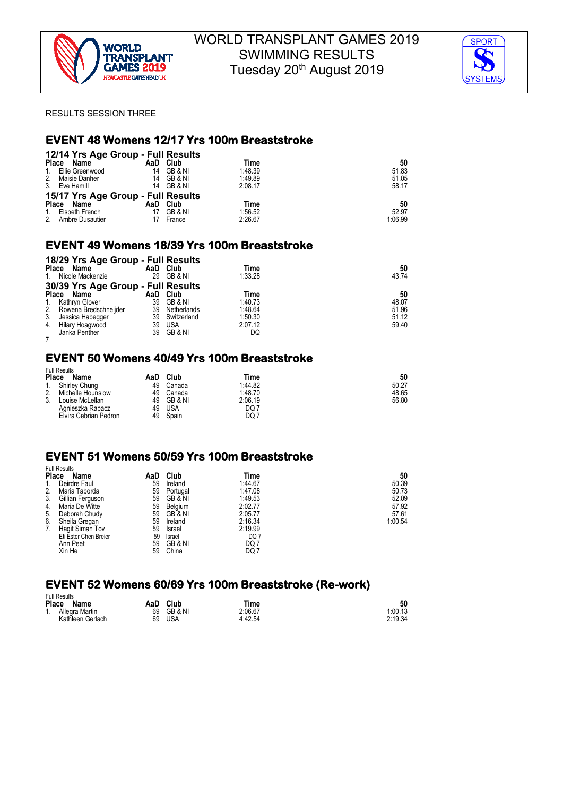



## **EVENT 48 Womens 12/17 Yrs 100m Breaststroke**

| 12/14 Yrs Age Group - Full Results |          |                    |         |
|------------------------------------|----------|--------------------|---------|
| <b>Place</b><br>Name               | AaD Club | Time               | 50      |
| 1 <sup>1</sup><br>Ellie Greenwood  | 14       | 1:48.39<br>GB & NI | 51.83   |
| 2.<br>Maisie Danher                | 14       | 1:49.89<br>GB & NI | 51.05   |
| 3. Eve Hamill                      | 14       | 2:08.17<br>GB & NI | 58.17   |
| 15/17 Yrs Age Group - Full Results |          |                    |         |
| <b>Place</b><br>Name               | AaD Club | Time               | 50      |
| 1. Elspeth French                  | 17       | 1:56.52<br>GB & NI | 52.97   |
| 2.<br>Ambre Dusautier              |          | 2:26.67<br>France  | 1:06.99 |

# **EVENT 49 Womens 18/39 Yrs 100m Breaststroke**

| 18/29 Yrs Age Group - Full Results |                                    |                |         |       |  |  |  |
|------------------------------------|------------------------------------|----------------|---------|-------|--|--|--|
| Place Name                         | AaD Club                           |                | Time    | 50    |  |  |  |
| Nicole Mackenzie<br>1.             | 29                                 | GB & NI        | 1:33.28 | 43.74 |  |  |  |
|                                    | 30/39 Yrs Age Group - Full Results |                |         |       |  |  |  |
| Place Name                         | AaD Club                           |                | Time    | 50    |  |  |  |
| 1. Kathryn Glover                  | 39                                 | GB & NI        | 1:40.73 | 48.07 |  |  |  |
| 2. Rowena Bredschneijder           | 39                                 | Netherlands    | 1:48.64 | 51.96 |  |  |  |
| 3 <sub>1</sub><br>Jessica Habegger |                                    | 39 Switzerland | 1:50.30 | 51.12 |  |  |  |
| 4.<br>Hilary Hoagwood              | 39                                 | <b>USA</b>     | 2:07.12 | 59.40 |  |  |  |
| Janka Penther                      |                                    | 39 GB & NI     | DQ      |       |  |  |  |
|                                    |                                    |                |         |       |  |  |  |

#### **EVENT 50 Womens 40/49 Yrs 100m Breaststroke**  Full Results

| Name | AaD                                                                                                                | Club    | Time    | 50              |
|------|--------------------------------------------------------------------------------------------------------------------|---------|---------|-----------------|
|      | 49                                                                                                                 | Canada  | 1:44.82 | 50.27           |
|      | 49                                                                                                                 | Canada  | 1:48.70 | 48.65           |
|      | 49                                                                                                                 | GB & NI | 2:06.19 | 56.80           |
|      | 49                                                                                                                 | USA     | DQ 7    |                 |
|      | 49                                                                                                                 | Spain   | DQ 7    |                 |
|      | <b>Place</b><br>Shirley Chung<br>Michelle Hounslow<br>Louise McLellan<br>Agnieszka Rapacz<br>Elvira Cebrian Pedron |         |         | ı uli i vəsullə |

## **EVENT 51 Womens 50/59 Yrs 100m Breaststroke**

|              | <b>Full Results</b>   |     |          |         |         |
|--------------|-----------------------|-----|----------|---------|---------|
| <b>Place</b> | Name                  | AaD | Club     | Time    | 50      |
| 1.           | Deirdre Faul          | 59  | Ireland  | 1:44.67 | 50.39   |
| 2.           | Maria Taborda         | 59  | Portugal | 1:47.08 | 50.73   |
| 3.           | Gillian Ferguson      | 59  | GB & NI  | 1:49.53 | 52.09   |
| 4.           | Maria De Witte        | 59  | Belgium  | 2:02.77 | 57.92   |
| 5.           | Deborah Chudy         | 59  | GB & NI  | 2:05.77 | 57.61   |
| 6.           | Sheila Gregan         | 59  | Ireland  | 2:16.34 | 1:00.54 |
| 7.           | Hagit Siman Tov       | 59  | Israel   | 2:19.99 |         |
|              | Eti Ester Chen Breier | 59  | Israel   | DQ 7    |         |
|              | Ann Peet              | 59  | GB & NI  | DQ 7    |         |
|              | Xin He                | 59  | China    | DQ 7    |         |

#### **EVENT 52 Womens 60/69 Yrs 100m Breaststroke (Re-work)**  Full Results

| i uli Nesults        |               |         |         |
|----------------------|---------------|---------|---------|
| <b>Place</b><br>Name | Club<br>AaD   | Time    | 50      |
| Allegra Martin<br>1. | GB & NI<br>69 | 2:06.67 | 1:00.13 |
| Kathleen Gerlach     | USA<br>69     | 4:42.54 | 2:19.34 |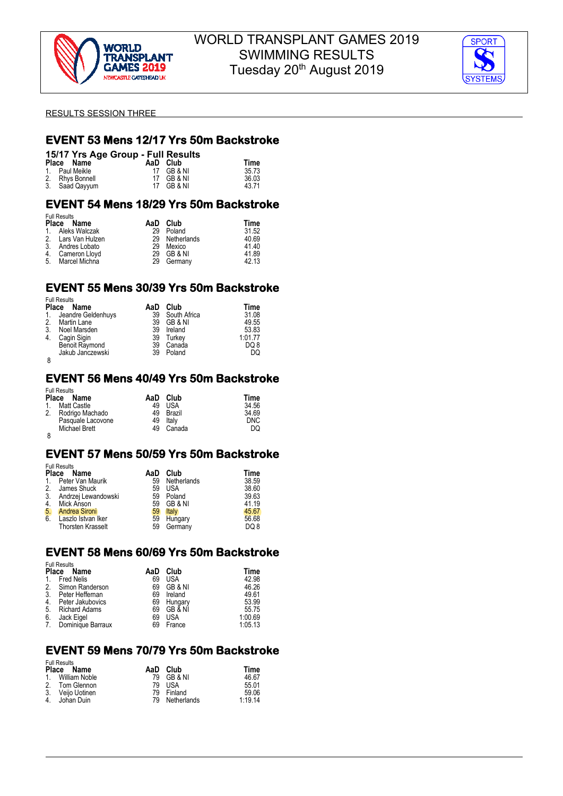



## **EVENT 53 Mens 12/17 Yrs 50m Backstroke**

|             | 15/17 Yrs Age Group - Full Results |  |
|-------------|------------------------------------|--|
| Dissa Magaz | $\lambda$ -D $\lambda$             |  |

| Place Name      | AaD Club   | Time  |
|-----------------|------------|-------|
| 1. Paul Meikle  | 17 GB & NI | 35.73 |
| 2. Rhys Bonnell | 17 GB & NI | 36.03 |
| 3. Saad Qayyum  | 17 GB & NI | 43.71 |

## **EVENT 54 Mens 18/29 Yrs 50m Backstroke**

| <b>Full Results</b><br>Place Name | AaD | Club           | Time  |
|-----------------------------------|-----|----------------|-------|
| 1. Aleks Walczak                  | 29  | Poland         | 31.52 |
| 2. Lars Van Hulzen                |     | 29 Netherlands | 40.69 |
| 3. Andres Lobato                  |     | 29 Mexico      | 41.40 |
| 4. Cameron Lloyd                  |     | 29 GB & NI     | 41.89 |
| 5. Marcel Michna                  | 29  | Germanv        | 42.13 |

## **EVENT 55 Mens 30/39 Yrs 50m Backstroke**

|                  | <b>Full Results</b> |     |                 |         |
|------------------|---------------------|-----|-----------------|---------|
| Place            | Name                | AaD | Club            | Time    |
| 1.               | Jeandre Geldenhuys  |     | 39 South Africa | 31.08   |
| 2.               | Martin Lane         | 39  | GB & NI         | 49.55   |
| 3.               | Noel Marsden        | 39  | Ireland         | 53.83   |
| $\overline{4}$ . | Cagin Sigin         | 39  | Turkev          | 1:01.77 |
|                  | Benoit Raymond      | 39  | Canada          | DQ 8    |
|                  | Jakub Janczewski    | 39  | Poland          | DQ      |
|                  |                     |     |                 |         |

#### **EVENT 56 Mens 40/49 Yrs 50m Backstroke**

|                | <b>Full Results</b><br>Place Name |    | AaD Club | Time       |
|----------------|-----------------------------------|----|----------|------------|
| $\mathbf{1}$ . | <b>Matt Castle</b>                | 49 | USA      | 34.56      |
|                | 2. Rodrigo Machado                | 49 | Brazil   | 34.69      |
|                | Pasquale Lacovone                 | 49 | Italy    | <b>DNC</b> |
|                | <b>Michael Brett</b>              | 49 | Canada   | DQ         |
|                |                                   |    |          |            |

## **EVENT 57 Mens 50/59 Yrs 50m Backstroke**

|       | <b>Full Results</b> |     |             |       |
|-------|---------------------|-----|-------------|-------|
| Place | Name                | AaD | Club        | Time  |
| 1.    | Peter Van Maurik    | 59  | Netherlands | 38.59 |
| 2.    | James Shuck         | 59  | <b>USA</b>  | 38.60 |
| 3.    | Andrzej Lewandowski | 59  | Poland      | 39.63 |
| 4.    | Mick Anson          | 59  | GB & NI     | 41.19 |
| 5.    | Andrea Sironi       | 59  | Italy       | 45.67 |
| 6.    | Laszlo Istvan Iker  | 59  | Hungary     | 56.68 |
|       | Thorsten Krasselt   | 59  | Germany     | DQ 8  |
|       |                     |     |             |       |

## **EVENT 58 Mens 60/69 Yrs 50m Backstroke**

|    | <b>Full Results</b>  |     |            |         |
|----|----------------------|-----|------------|---------|
|    | Place Name           | AaD | Club       | Time    |
| 1. | <b>Fred Nelis</b>    | 69  | <b>USA</b> | 42.98   |
|    | 2. Simon Randerson   | 69  | GB & NI    | 46.26   |
|    | 3. Peter Heffernan   | 69  | Ireland    | 49.61   |
| 4. | Peter Jakubovics     | 69  | Hungary    | 53.99   |
| 5. | Richard Adams        | 69  | GB & NI    | 55.75   |
| 6. | Jack Eigel           | 69  | USA        | 1:00.69 |
|    | 7. Dominique Barraux | 69  | France     | 1:05.13 |

# **EVENT 59 Mens 70/79 Yrs 50m Backstroke**

| <b>Full Results</b><br>Place Name | AaD Club       | Time    |
|-----------------------------------|----------------|---------|
| 1. William Noble                  | 79 GB & NI     | 46.67   |
| 2. Tom Glennon                    | 79 USA         | 55.01   |
| 3. Veijo Uotinen                  | 79 Finland     | 59.06   |
| 4. Johan Duin                     | 79 Netherlands | 1:19.14 |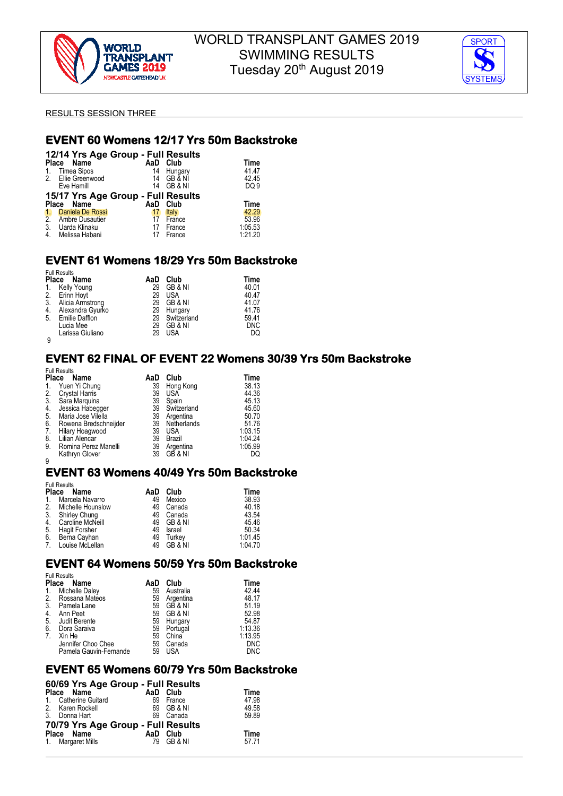



## **EVENT 60 Womens 12/17 Yrs 50m Backstroke**

|                |                    | 12/14 Yrs Age Group - Full Results |              |                 |
|----------------|--------------------|------------------------------------|--------------|-----------------|
|                | Place Name         | AaD                                | Club         | Time            |
| 1.             | Timea Sipos        | 14                                 | Hungary      | 41.47           |
|                | 2. Ellie Greenwood | 14                                 | GB & NÌ      | 42.45           |
|                | Eve Hamill         | 14                                 | GB & NI      | DQ <sub>9</sub> |
|                |                    | 15/17 Yrs Age Group - Full Results |              |                 |
|                | Place Name         | AaD Club                           |              | Time            |
| $\blacksquare$ | Daniela De Rossi   | 17                                 | <b>Italy</b> | 42.29           |
|                | 2. Ambre Dusautier | 17                                 | France       | 53.96           |
|                | 3. Uarda Klinaku   | 17                                 | France       | 1:05.53         |
| 4.             | Melissa Habani     | 17                                 | France       | 1:21.20         |

## **EVENT 61 Womens 18/29 Yrs 50m Backstroke**

|    | <b>Full Results</b> |     |                |       |
|----|---------------------|-----|----------------|-------|
|    | Place Name          | AaD | Club           | Time  |
|    | 1. Kelly Young      | 29  | GB & NI        | 40.01 |
|    | 2. Erinn Hoyt       | 29  | <b>USA</b>     | 40.47 |
| 3. | Alicia Armstrong    | 29  | GB & NI        | 41.07 |
| 4. | Alexandra Gyurko    |     | 29 Hungary     | 41.76 |
| 5. | Emilie Dafflon      |     | 29 Switzerland | 59.41 |
|    | Lucia Mee           | 29  | GB & NI        | DNC   |
|    | Larissa Giuliano    | 29  | USA            | DQ    |
|    |                     |     |                |       |

## **EVENT 62 FINAL OF EVENT 22 Womens 30/39 Yrs 50m Backstroke**

|              | <b>Full Results</b>   |     |             |         |
|--------------|-----------------------|-----|-------------|---------|
| <b>Place</b> | <b>Name</b>           | AaD | Club        | Time    |
| 1.           | Yuen Yi Chung         | 39  | Hong Kong   | 38.13   |
| 2.           | <b>Crystal Harris</b> | 39  | <b>USA</b>  | 44.36   |
| 3.           | Sara Marquina         | 39  | Spain       | 45.13   |
| 4.           | Jessica Habegger      | 39  | Switzerland | 45.60   |
| 5.           | Maria Jose Vilella    | 39  | Argentina   | 50.70   |
| 6.           | Rowena Bredschneijder | 39  | Netherlands | 51.76   |
| 7.           | Hilary Hoagwood       | 39  | USA         | 1:03.15 |
| 8.           | Lilian Alencar        | 39  | Brazil      | 1:04.24 |
| 9.           | Romina Perez Manelli  | 39  | Argentina   | 1:05.99 |
|              | Kathryn Glover        | 39  | GB & NI     | DQ      |
| 9            |                       |     |             |         |

## **EVENT 63 Womens 40/49 Yrs 50m Backstroke**

| <b>Full Results</b> |                      |     |         |         |  |
|---------------------|----------------------|-----|---------|---------|--|
| Place               | Name                 | AaD | Club    | Time    |  |
| 1.                  | Marcela Navarro      | 49  | Mexico  | 38.93   |  |
|                     | 2. Michelle Hounslow | 49  | Canada  | 40.18   |  |
| 3.                  | Shirley Chung        | 49  | Canada  | 43.54   |  |
| 4.                  | Caroline McNeill     | 49  | GB & NI | 45.46   |  |
| 5.                  | <b>Hagit Forsher</b> | 49  | Israel  | 50.34   |  |
| 6.                  | Berna Cayhan         | 49  | Turkey  | 1:01.45 |  |
| 7.                  | Louise McLellan      | 49  | GB & NI | 1:04.70 |  |

### **EVENT 64 Womens 50/59 Yrs 50m Backstroke**

| Place          | <b>Full Results</b><br>Name | AaD | Club       | Time       |
|----------------|-----------------------------|-----|------------|------------|
| 1.             | Michelle Daley              | 59  | Australia  | 42.44      |
|                | 2. Rossana Mateos           | 59  | Argentina  | 48.17      |
| 3.             | Pamela Lane                 | 59  | GB & NI    | 51.19      |
| 4.             | Ann Peet                    | 59  | GB & NI    | 52.98      |
| 5.             | Judit Berente               | 59  | Hungary    | 54.87      |
| 6.             | Dora Saraiva                | 59  | Portugal   | 1:13.36    |
| 7 <sub>1</sub> | Xin He                      | 59  | China      | 1:13.95    |
|                | Jennifer Choo Chee          | 59  | Canada     | <b>DNC</b> |
|                | Pamela Gauvin-Fernande      | 59  | <b>USA</b> | <b>DNC</b> |

## **EVENT 65 Womens 60/79 Yrs 50m Backstroke**

| 60/69 Yrs Age Group - Full Results<br>Place Name | AaD Club |            | Time  |
|--------------------------------------------------|----------|------------|-------|
| 1. Catherine Guitard                             | 69       | France     | 47.98 |
| 2. Karen Rockell                                 |          | 69 GB & NI | 49.58 |
| 3. Donna Hart                                    |          | 69 Canada  | 59.89 |
| 70/79 Yrs Age Group - Full Results               |          |            |       |
| Place Name                                       | AaD Club |            | Time  |
| 1. Margaret Mills                                | 79       | GB & NI    | 57.71 |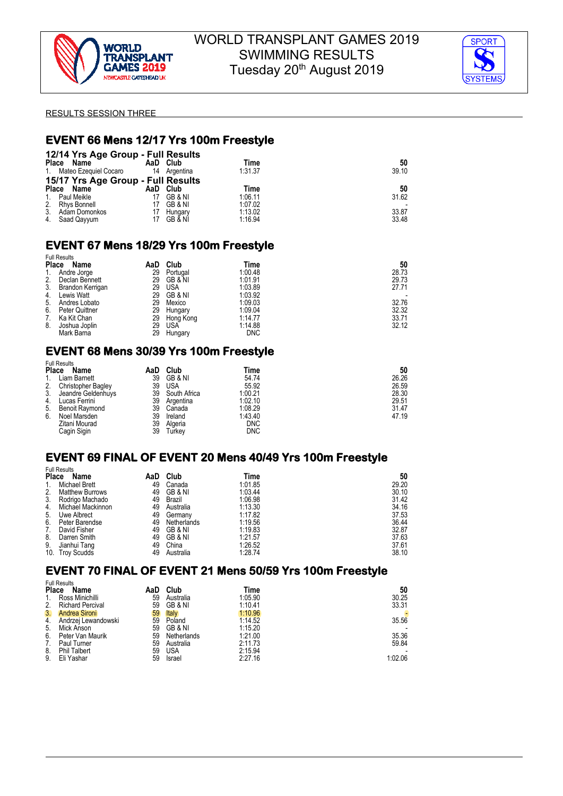



Full Results

## **EVENT 66 Mens 12/17 Yrs 100m Freestyle**

| 12/14 Yrs Age Group - Full Results<br>Place Name<br>1. Mateo Ezequiel Cocaro |          | AaD Club<br>14 Argentina                 | Time<br>1:31.37                          | 50<br>39.10             |
|------------------------------------------------------------------------------|----------|------------------------------------------|------------------------------------------|-------------------------|
| 15/17 Yrs Age Group - Full Results<br>Place Name                             |          | AaD Club                                 | Time                                     | 50                      |
| 1. Paul Meikle<br>2. Rhys Bonnell<br>3. Adam Domonkos<br>4. Saad Qayyum      | 17<br>17 | GB & NI<br>GB & NI<br>Hungary<br>GB & NÌ | 1:06.11<br>1:07.02<br>1:13.02<br>1:16.94 | 31.62<br>33.87<br>33.48 |

## **EVENT 67 Mens 18/29 Yrs 100m Freestyle**

|                | <b>Full Results</b> |     |            |            |       |
|----------------|---------------------|-----|------------|------------|-------|
| <b>Place</b>   | Name                | AaD | Club       | Time       | 50    |
| 1.             | Andre Jorge         | 29  | Portugal   | 1:00.48    | 28.73 |
| 2.             | Declan Bennett      | 29  | GB & NI    | 1:01.91    | 29.73 |
| 3 <sub>1</sub> | Brandon Kerrigan    | 29  | <b>USA</b> | 1:03.89    | 27.71 |
| 4.             | Lewis Watt          | 29  | GB & NI    | 1:03.92    |       |
| 5.             | Andres Lobato       | 29  | Mexico     | 1:09.03    | 32.76 |
| 6.             | Peter Quittner      | 29  | Hungary    | 1:09.04    | 32.32 |
| 7.             | Ka Kit Chan         | 29  | Hong Kong  | 1:14.77    | 33.71 |
| 8.             | Joshua Joplin       | 29  | <b>USA</b> | 1:14.88    | 32.12 |
|                | Mark Barna          | 29  | Hungary    | <b>DNC</b> |       |

### **EVENT 68 Mens 30/39 Yrs 100m Freestyle**

| <b>Place</b> | <b>Full Results</b><br>Name | AaD | Club         | Time       | 50    |
|--------------|-----------------------------|-----|--------------|------------|-------|
| 1.           | Liam Barnett                | 39  | GB & NI      | 54.74      | 26.26 |
| 2.           | Christopher Bagley          | 39  | <b>USA</b>   | 55.92      | 26.59 |
| 3.           | Jeandre Geldenhuys          | 39  | South Africa | 1:00.21    | 28.30 |
| 4.           | Lucas Ferrini               | 39  | Argentina    | 1:02.10    | 29.51 |
| 5.           | <b>Benoit Raymond</b>       | 39  | Canada       | 1:08.29    | 31.47 |
| 6.           | Noel Marsden                | 39  | Ireland      | 1:43.40    | 47.19 |
|              | Zitani Mourad               | 39  | Algeria      | <b>DNC</b> |       |
|              | Cagin Sigin                 | 39  | Turkey       | DNC        |       |

### **EVENT 69 FINAL OF EVENT 20 Mens 40/49 Yrs 100m Freestyle**

| ı uli i vəsullə        |                                                        |             |         |       |
|------------------------|--------------------------------------------------------|-------------|---------|-------|
| Name                   | AaD                                                    | Club        | Time    | 50    |
| <b>Michael Brett</b>   | 49                                                     | Canada      | 1:01.85 | 29.20 |
| <b>Matthew Burrows</b> | 49                                                     | GB & NI     | 1:03.44 | 30.10 |
|                        | 49                                                     | Brazil      | 1:06.98 | 31.42 |
| Michael Mackinnon      | 49                                                     | Australia   | 1:13.30 | 34.16 |
| Uwe Albrect            | 49                                                     | Germany     | 1:17.82 | 37.53 |
| Peter Barendse         | 49                                                     | Netherlands | 1:19.56 | 36.44 |
| David Fisher           | 49                                                     | GB & NI     | 1:19.83 | 32.87 |
| Darren Smith           | 49                                                     | GB & NI     | 1:21.57 | 37.63 |
|                        | 49                                                     | China       | 1:26.52 | 37.61 |
| <b>Troy Scudds</b>     | 49                                                     | Australia   | 1:28.74 | 38.10 |
|                        | <b>Place</b><br>Rodrigo Machado<br>Jianhui Tang<br>10. |             |         |       |

### **EVENT 70 FINAL OF EVENT 21 Mens 50/59 Yrs 100m Freestyle**

| <b>Place</b>   | <b>Full Results</b><br>Name | AaD | Club          | Time    | 50      |
|----------------|-----------------------------|-----|---------------|---------|---------|
| 1.             | Ross Minichilli             | 59  | Australia     | 1:05.90 | 30.25   |
| 2.             | <b>Richard Percival</b>     | 59  | GB & NI       | 1:10.41 | 33.31   |
| 3 <sup>°</sup> | <b>Andrea Sironi</b>        | 59  | Italy         | 1:10.96 |         |
| 4.             | Andrzej Lewandowski         | 59  | Poland        | 1:14.52 | 35.56   |
| 5.             | Mick Anson                  | 59  | GB & NI       | 1:15.20 |         |
| 6.             | Peter Van Maurik            | 59  | Netherlands   | 1:21.00 | 35.36   |
| 7.             | Paul Turner                 | 59  | Australia     | 2:11.73 | 59.84   |
| 8.             | <b>Phil Talbert</b>         | 59  | USA           | 2:15.94 |         |
| 9.             | Eli Yashar                  | 59  | <b>Israel</b> | 2:27.16 | 1:02.06 |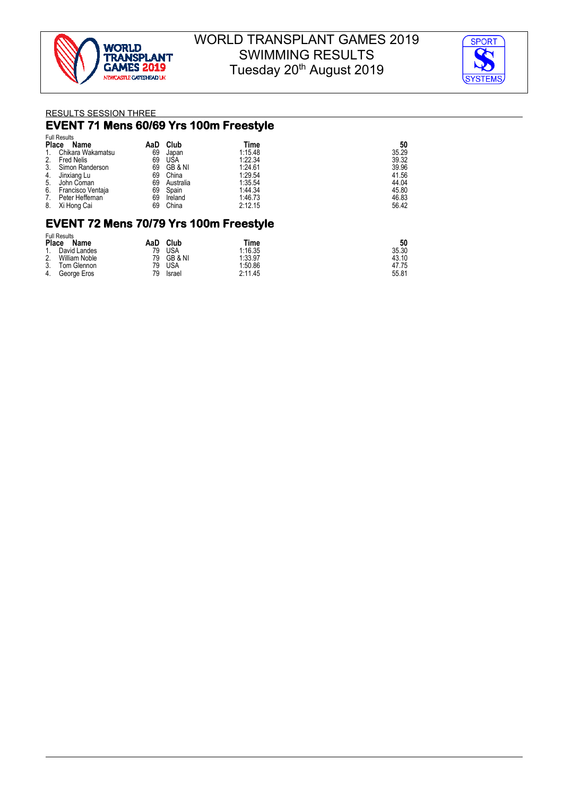



# **EVENT 71 Mens 60/69 Yrs 100m Freestyle**

|              | <b>Full Results</b> |     |           |         |       |
|--------------|---------------------|-----|-----------|---------|-------|
| <b>Place</b> | Name                | AaD | Club      | Time    | 50    |
| 1.           | Chikara Wakamatsu   | 69  | Japan     | 1:15.48 | 35.29 |
| 2.           | <b>Fred Nelis</b>   | 69  | USA       | 1:22.34 | 39.32 |
| 3.           | Simon Randerson     | 69  | GB & NI   | 1:24.61 | 39.96 |
| 4.           | Jinxiang Lu         | 69  | China     | 1:29.54 | 41.56 |
| 5.           | John Coman          | 69  | Australia | 1:35.54 | 44.04 |
| 6.           | Francisco Ventaja   | 69  | Spain     | 1:44.34 | 45.80 |
| 7.           | Peter Heffernan     | 69  | Ireland   | 1:46.73 | 46.83 |
| 8.           | Xi Hong Cai         | 69  | China     | 2:12.15 | 56.42 |

#### **EVENT 72 Mens 70/79 Yrs 100m Freestyle**  Full Results

|              | ี นแ เ งษมเม  |     |         |         |       |
|--------------|---------------|-----|---------|---------|-------|
| <b>Place</b> | Name          | AaD | Club    | Time    | 50    |
|              | David Landes  | 79  | USA     | 1:16.35 | 35.30 |
| 2.           | William Noble | 79  | GB & NI | 1:33.97 | 43.10 |
| ્ર           | Tom Glennon   | 79  | USA     | 1:50.86 | 47.75 |
| 4.           | George Eros   | 79  | Israel  | 2:11.45 | 55.81 |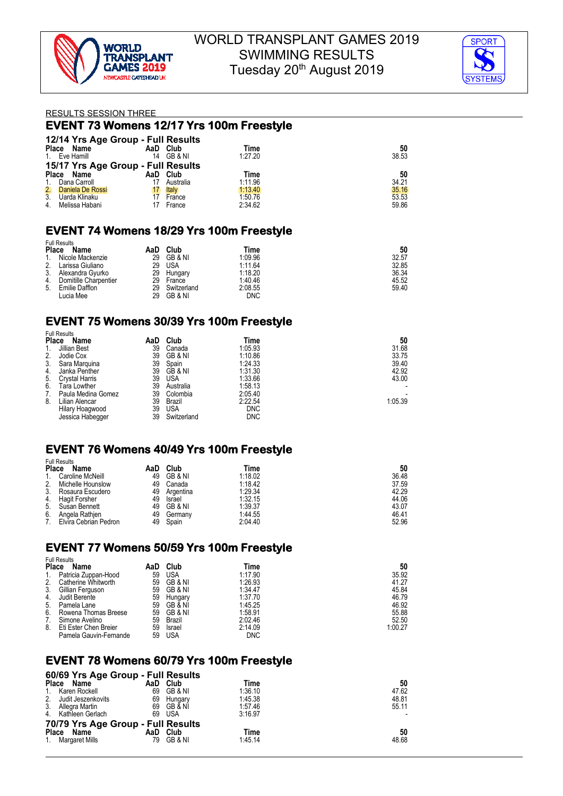



## **EVENT 73 Womens 12/17 Yrs 100m Freestyle**

| 12/14 Yrs Age Group - Full Results |                                    |    |           |         |       |  |
|------------------------------------|------------------------------------|----|-----------|---------|-------|--|
|                                    | Place Name                         |    | AaD Club  | Time    | 50    |  |
|                                    | 1. Eve Hamill                      | 14 | GB & NI   | 1:27.20 | 38.53 |  |
|                                    | 15/17 Yrs Age Group - Full Results |    |           |         |       |  |
| <b>Place</b>                       | Name                               |    | AaD Club  | Time    | 50    |  |
| $1_{\ldots}$                       | Dana Carroll                       |    | Australia | 1:11.96 | 34.21 |  |
|                                    | 2. Daniela De Rossi                | 17 | Italy     | 1:13.40 | 35.16 |  |
| 3 <sub>l</sub>                     | Uarda Klinaku                      |    | France    | 1:50.76 | 53.53 |  |
|                                    | 4. Melissa Habani                  |    | France    | 2:34.62 | 59.86 |  |

## **EVENT 74 Womens 18/29 Yrs 100m Freestyle**

| <b>Full Results</b> |                                                           |             |            |       |
|---------------------|-----------------------------------------------------------|-------------|------------|-------|
| Name                | AaD                                                       | Club        | Time       | 50    |
| Nicole Mackenzie    | 29                                                        | GB & NI     | 1:09.96    | 32.57 |
| Larissa Giuliano    | 29                                                        | USA         | 1:11.64    | 32.85 |
|                     | 29                                                        | Hungary     | 1:18.20    | 36.34 |
|                     | 29                                                        | France      | 1:40.46    | 45.52 |
| Emilie Dafflon      | 29                                                        | Switzerland | 2:08.55    | 59.40 |
| Lucia Mee           | 29                                                        | GB & NI     | <b>DNC</b> |       |
|                     | <b>Place</b><br>Alexandra Gyurko<br>Domitille Charpentier |             |            |       |

## **EVENT 75 Womens 30/39 Yrs 100m Freestyle**

| <b>Full Results</b> |                       |     |             |            |         |
|---------------------|-----------------------|-----|-------------|------------|---------|
| <b>Place</b>        | Name                  | AaD | Club        | Time       | 50      |
| 1.                  | Jillian Best          | 39  | Canada      | 1:05.93    | 31.68   |
| 2.                  | Jodie Cox             | 39  | GB & NI     | 1:10.86    | 33.75   |
| 3.                  | Sara Marguina         | 39  | Spain       | 1:24.33    | 39.40   |
| 4.                  | Janka Penther         | 39  | GB & NI     | 1:31.30    | 42.92   |
| 5.                  | <b>Crystal Harris</b> | 39  | <b>USA</b>  | 1:33.66    | 43.00   |
| 6.                  | Tara Lowther          | 39  | Australia   | 1:58.13    |         |
| 7.                  | Paula Medina Gomez    | 39  | Colombia    | 2:05.40    |         |
| 8.                  | Lilian Alencar        | 39  | Brazil      | 2:22.54    | 1:05.39 |
|                     | Hilary Hoagwood       | 39  | <b>USA</b>  | <b>DNC</b> |         |
|                     | Jessica Habegger      | 39  | Switzerland | <b>DNC</b> |         |

## **EVENT 76 Womens 40/49 Yrs 100m Freestyle**

|              | <b>Full Results</b>   |     |              |         |       |
|--------------|-----------------------|-----|--------------|---------|-------|
| <b>Place</b> | Name                  | AaD | Club         | Time    | 50    |
| 1.           | Caroline McNeill      | 49  | GB & NI      | 1:18.02 | 36.48 |
| 2.           | Michelle Hounslow     | 49  | Canada       | 1:18.42 | 37.59 |
| 3.           | Rosaura Escudero      |     | 49 Argentina | 1:29.34 | 42.29 |
|              | 4. Hagit Forsher      | 49  | Israel       | 1:32.15 | 44.06 |
| 5.           | Susan Bennett         | 49  | GB & NI      | 1:39.37 | 43.07 |
| 6.           | Angela Rathien        | 49  | Germany      | 1:44.55 | 46.41 |
| 7.           | Elvira Cebrian Pedron | 49  | Spain        | 2:04.40 | 52.96 |

## **EVENT 77 Womens 50/59 Yrs 100m Freestyle**

| i uli i vcoulto             |     |               |            |         |  |
|-----------------------------|-----|---------------|------------|---------|--|
| <b>Place</b><br>Name        | AaD | Club          | Time       | 50      |  |
| Patricia Zuppan-Hood<br>1.  | 59  | <b>USA</b>    | 1:17.90    | 35.92   |  |
| 2.<br>Catherine Whitworth   | 59  | GB & NI       | 1:26.93    | 41.27   |  |
| 3.<br>Gillian Ferguson      | 59  | GB & NI       | 1:34.47    | 45.84   |  |
| 4.<br>Judit Berente         | 59  | Hungary       | 1:37.70    | 46.79   |  |
| 5.<br>Pamela Lane           | 59  | GB & NÌ       | 1:45.25    | 46.92   |  |
| 6.<br>Rowena Thomas Breese  | 59  | GB & NI       | 1:58.91    | 55.88   |  |
| 7.<br>Simone Avelino        | 59  | Brazil        | 2:02.46    | 52.50   |  |
| 8.<br>Eti Ester Chen Breier | 59  | <b>Israel</b> | 2:14.09    | 1:00.27 |  |
| Pamela Gauvin-Fernande      | 59  | USA           | <b>DNC</b> |         |  |
|                             |     |               |            |         |  |

# **EVENT 78 Womens 60/79 Yrs 100m Freestyle**

#### **60/69 Yrs Age Group - Full Results**

Full Results

| <b>Place</b><br>Name                             | AaD | Club    | Time    | 50                       |
|--------------------------------------------------|-----|---------|---------|--------------------------|
| 1.<br>Karen Rockell                              | 69  | GB & NI | 1:36.10 | 47.62                    |
| 2. Judit Jeszenkovits                            | 69  | Hungary | 1:45.38 | 48.81                    |
| 3. Allegra Martin                                | 69  | GB & NÌ | 1:57.46 | 55.11                    |
| 4. Kathleen Gerlach                              | 69  | USA     | 3:16.97 | $\overline{\phantom{a}}$ |
| 70/79 Yrs Age Group - Full Results<br>Place Name | AaD | Club    | Time    | 50                       |
| 1. Margaret Mills                                | 79  | GB & NI | 1:45.14 | 48.68                    |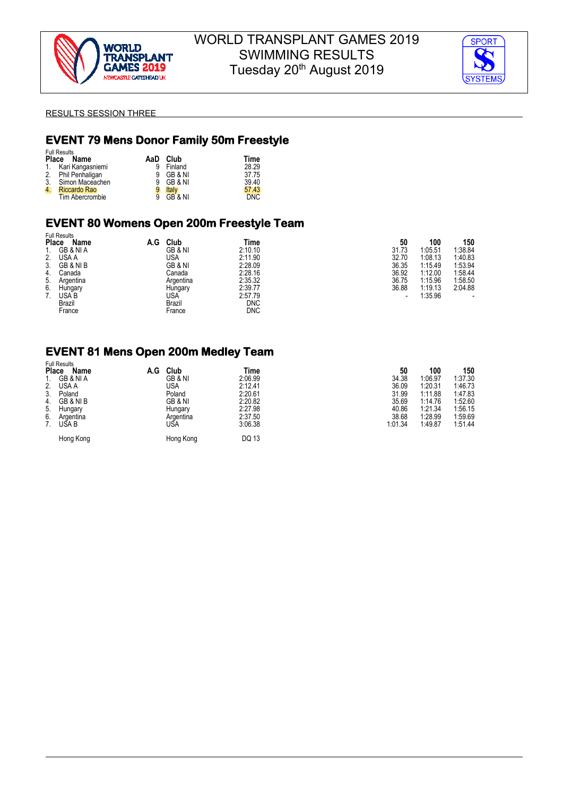



### **EVENT 79 Mens Donor Family 50m Freestyle**

|    | <b>Full Results</b> |     |         |            |
|----|---------------------|-----|---------|------------|
|    | Place Name          | AaD | Club    | Time       |
|    | 1. Kari Kangasniemi |     | Finland | 28.29      |
|    | 2. Phil Penhaligan  |     | GB & NI | 37.75      |
| 3. | Simon Maceachen     |     | GB & NI | 39.40      |
|    | 4. Riccardo Rao     | 9   | Italy   | 57.43      |
|    | Tim Abercrombie     |     | GB & NI | <b>DNC</b> |

## **EVENT 80 Womens Open 200m Freestyle Team**

| <b>Full Results</b> |             |           |            |                          |         |                          |
|---------------------|-------------|-----------|------------|--------------------------|---------|--------------------------|
| <b>Place</b>        | Name<br>A.G | Club      | Time       | 50                       | 100     | 150                      |
| GB & NI A<br>1.     |             | GB & NI   | 2:10.10    | 31.73                    | 1:05.51 | 1:38.84                  |
| 2.<br>USA A         |             | USA       | 2:11.90    | 32.70                    | 1:08.13 | 1:40.83                  |
| 3.<br>GB & NI B     |             | GB & NI   | 2:28.09    | 36.35                    | 1:15.49 | 1:53.94                  |
| Canada<br>4.        |             | Canada    | 2:28.16    | 36.92                    | 1:12.00 | 1:58.44                  |
| 5.<br>Argentina     |             | Argentina | 2:35.32    | 36.75                    | 1:15.96 | 1:58.50                  |
| 6.<br>Hungary       |             | Hungary   | 2:39.77    | 36.88                    | 1:19.13 | 2:04.88                  |
| USA B               |             | USA       | 2:57.79    | $\overline{\phantom{a}}$ | 1:35.96 | $\overline{\phantom{a}}$ |
| <b>Brazil</b>       |             | Brazil    | DNC        |                          |         |                          |
| France              |             | France    | <b>DNC</b> |                          |         |                          |

# **EVENT 81 Mens Open 200m Medley Team**

|                | <b>Full Results</b>  |             |         |         |         |         |  |  |
|----------------|----------------------|-------------|---------|---------|---------|---------|--|--|
|                | <b>Place</b><br>Name | Club<br>A.G | Time    | 50      | 100     | 150     |  |  |
|                | 1. GB&NIA            | GB & NI     | 2:06.99 | 34.38   | 1:06.97 | 1:37.30 |  |  |
| 2.             | USA A                | USA         | 2:12.41 | 36.09   | 1:20.31 | 1:46.73 |  |  |
| 3.             | Poland               | Poland      | 2:20.61 | 31.99   | 1:11.88 | 1:47.83 |  |  |
|                | 4. GB&NIB            | GB & NI     | 2:20.82 | 35.69   | 1:14.76 | 1:52.60 |  |  |
| 5.<br>6.<br>7. | Hungary              | Hungary     | 2:27.98 | 40.86   | 1:21.34 | 1:56.15 |  |  |
|                | Argentina            | Argentina   | 2:37.50 | 38.68   | 1:28.99 | 1:59.69 |  |  |
|                | USA B                | USA         | 3:06.38 | 1:01.34 | 1:49.87 | 1:51.44 |  |  |
|                | Hong Kong            | Hong Kong   | DQ 13   |         |         |         |  |  |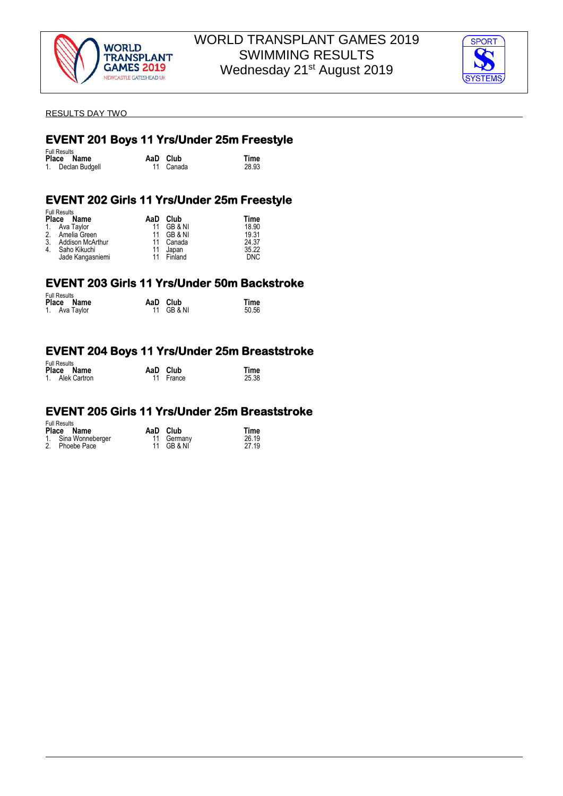



### **EVENT 201 Boys 11 Yrs/Under 25m Freestyle**

| <b>Full Results</b> |           |  |       |  |  |
|---------------------|-----------|--|-------|--|--|
| Place Name          | AaD Club  |  | Time  |  |  |
| 1. Declan Budgell   | 11 Canada |  | 28.93 |  |  |

#### **EVENT 202 Girls 11 Yrs/Under 25m Freestyle**

|    | <b>Full Results</b> |              |
|----|---------------------|--------------|
| ni |                     | $\mathbf{H}$ |

|    | Place Name          | AaD | Club       | Time       |
|----|---------------------|-----|------------|------------|
|    | 1. Ava Taylor       | 11  | GB & NI    | 18.90      |
|    | 2. Amelia Green     | 11  | GB & NI    | 19.31      |
|    | 3. Addison McArthur | 11  | Canada     | 24.37      |
| 4. | Saho Kikuchi        | 11  | Japan      | 35.22      |
|    | Jade Kangasniemi    |     | 11 Finland | <b>DNC</b> |

#### **EVENT 203 Girls 11 Yrs/Under 50m Backstroke**

| <b>Full Results</b> |          |            |       |
|---------------------|----------|------------|-------|
| Place Name          | AaD Club |            | Time  |
| 1. Ava Taylor       |          | 11 GB & NI | 50.56 |

#### **EVENT 204 Boys 11 Yrs/Under 25m Breaststroke**

Full Results **Place Name AaD Club Time** 1. Alek Cartron 11 France 25.38

### **EVENT 205 Girls 11 Yrs/Under 25m Breaststroke**

| <b>Full Results</b> |  |            |       |  |  |  |  |  |  |  |
|---------------------|--|------------|-------|--|--|--|--|--|--|--|
| Place Name          |  | AaD Club   | Time  |  |  |  |  |  |  |  |
| 1. Sina Wonneberger |  | 11 Germany | 26.19 |  |  |  |  |  |  |  |
| 2. Phoebe Pace      |  | 11 GB & NI | 27.19 |  |  |  |  |  |  |  |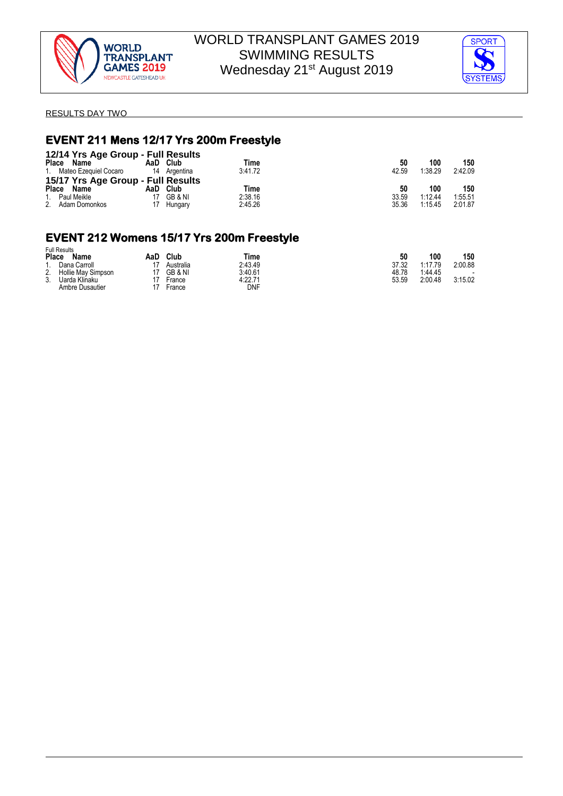



# **EVENT 211 Mens 12/17 Yrs 200m Freestyle**

| 12/14 Yrs Age Group - Full Results |     |              |         |       |         |         |  |  |  |  |
|------------------------------------|-----|--------------|---------|-------|---------|---------|--|--|--|--|
| <b>Place</b><br>Name               | AaD | Club         | Time    | 50    | 100     | 150     |  |  |  |  |
| 1. Mateo Ezeguiel Cocaro           |     | 14 Argentina | 3:41.72 | 42.59 | 1:38.29 | 2:42.09 |  |  |  |  |
| 15/17 Yrs Age Group - Full Results |     |              |         |       |         |         |  |  |  |  |
| Place<br>Name                      | AaD | Club         | Time    | 50    | 100     | 150     |  |  |  |  |
| Paul Meikle<br>1.                  |     | GB & NI      | 2:38.16 | 33.59 | 1:12.44 | 1:55.51 |  |  |  |  |
| $2^{2}$<br>Adam Domonkos           |     | Hungary      | 2:45.26 | 35.36 | 1:15.45 | 2:01.87 |  |  |  |  |

## **EVENT 212 Womens 15/17 Yrs 200m Freestyle**

|         | <b>Full Results</b><br>Place<br>Name | AaD | Club                 | Time                  | 50             | 100                | 150                                 |
|---------|--------------------------------------|-----|----------------------|-----------------------|----------------|--------------------|-------------------------------------|
| 1<br>2. | Dana Carroll<br>Hollie May Simpson   |     | Australia<br>GB & NI | 2:43.49<br>3:40.61    | 37.32<br>48.78 | 1:17.79<br>1:44.45 | 2:00.88<br>$\overline{\phantom{a}}$ |
| 3.      | Uarda Klinaku<br>Ambre Dusautier     |     | France<br>France     | 4:22.71<br><b>DNF</b> | 53.59          | 2:00.48            | 3:15.02                             |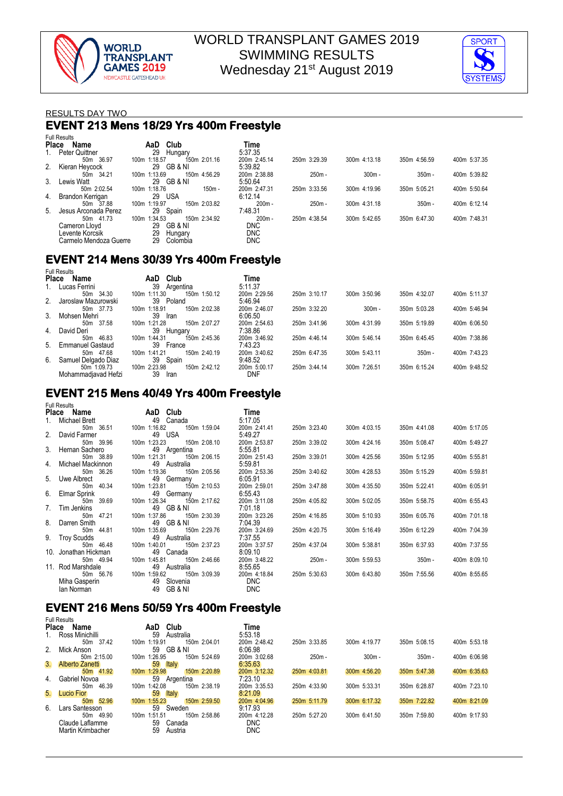



#### **EVENT 213 Mens 18/29 Yrs 400m Freestyle**

|                | <b>Full Results</b>    |              |            |              |              |              |              |              |              |
|----------------|------------------------|--------------|------------|--------------|--------------|--------------|--------------|--------------|--------------|
|                | <b>Place</b><br>Name   |              | AaD Club   |              | Time         |              |              |              |              |
| 1.             | Peter Quittner         | 29           | Hungary    |              | 5:37.35      |              |              |              |              |
|                | 50m 36.97              | 100m 1:18.57 |            | 150m 2:01.16 | 200m 2:45.14 | 250m 3:29.39 | 300m 4:13.18 | 350m 4:56.59 | 400m 5:37.35 |
| 2.             | Kieran Heycock         |              | 29 GB & NI |              | 5:39.82      |              |              |              |              |
|                | 50m 34.21              | 100m 1:13.69 |            | 150m 4:56.29 | 200m 2:38.88 | $250m -$     | $300m -$     | $350m -$     | 400m 5:39.82 |
| 3 <sub>1</sub> | Lewis Watt             |              | 29 GB & NI |              | 5:50.64      |              |              |              |              |
|                | 50m 2:02.54            | 100m 1:18.76 |            | $150m -$     | 200m 2:47.31 | 250m 3:33.56 | 300m 4:19.96 | 350m 5:05.21 | 400m 5:50.64 |
| 4.             | Brandon Kerrigan       |              | 29 USA     |              | 6:12.14      |              |              |              |              |
|                | 50m 37.88              | 100m 1:19.97 |            | 150m 2:03.82 | $200m -$     | $250m -$     | 300m 4:31.18 | $350m -$     | 400m 6:12.14 |
| 5.             | Jesus Arconada Perez   | 29           | Spain      |              | 7:48.31      |              |              |              |              |
|                | 50m 41.73              | 100m 1:34.53 |            | 150m 2:34.92 | $200m -$     | 250m 4:38.54 | 300m 5:42.65 | 350m 6:47.30 | 400m 7:48.31 |
|                | Cameron Lloyd          | 29           | GB & NI    |              | <b>DNC</b>   |              |              |              |              |
|                | Levente Korcsik        | 29           | Hungary    |              | <b>DNC</b>   |              |              |              |              |
|                | Carmelo Mendoza Guerre | 29           | Colombia   |              | <b>DNC</b>   |              |              |              |              |

# **EVENT 214 Mens 30/39 Yrs 400m Freestyle**

|              | <b>Full Results</b>    |                 |              |              |              |              |              |              |
|--------------|------------------------|-----------------|--------------|--------------|--------------|--------------|--------------|--------------|
| <b>Place</b> | Name                   | AaD Club        |              | Time         |              |              |              |              |
| 1.           | Lucas Ferrini          | 39<br>Argentina |              | 5:11.37      |              |              |              |              |
|              | 50m 34.30              | 100m 1:11.30    | 150m 1:50.12 | 200m 2:29.56 | 250m 3:10.17 | 300m 3:50.96 | 350m 4:32.07 | 400m 5:11.37 |
|              | 2. Jaroslaw Mazurowski | 39 Poland       |              | 5:46.94      |              |              |              |              |
|              | 50m 37.73              | 100m 1:18.91    | 150m 2:02.38 | 200m 2:46.07 | 250m 3:32.20 | $300m -$     | 350m 5:03.28 | 400m 5:46.94 |
| 3.           | Mohsen Mehri           | 39<br>Iran      |              | 6:06.50      |              |              |              |              |
|              | 50m 37.58              | 100m 1:21.28    | 150m 2:07.27 | 200m 2:54.63 | 250m 3:41.96 | 300m 4:31.99 | 350m 5:19.89 | 400m 6:06.50 |
| 4.           | David Deri             | 39<br>Hungary   |              | 7:38.86      |              |              |              |              |
|              | 50m 46.83              | 1:44.31<br>100m | 150m 2:45.36 | 200m 3:46.92 | 250m 4:46.14 | 300m 5:46.14 | 350m 6:45.45 | 400m 7:38.86 |
|              | 5. Emmanuel Gastaud    | 39<br>France    |              | 7:43.23      |              |              |              |              |
|              | 50m 47.68              | 100m 1:41.21    | 150m 2:40.19 | 200m 3:40.62 | 250m 6:47.35 | 300m 5:43.11 | $350m -$     | 400m 7:43.23 |
| 6.           | Samuel Delgado Diaz    | 39 Spain        |              | 9:48.52      |              |              |              |              |
|              | 50m 1:09.73            | 100m 2:23.98    | 150m 2:42.12 | 200m 5:00.17 | 250m 3:44.14 | 300m 7:26.51 | 350m 6:15.24 | 400m 9:48.52 |
|              | Mohammadiavad Hefzi    | 39<br>Iran      |              | DNF          |              |              |              |              |

## **EVENT 215 Mens 40/49 Yrs 400m Freestyle**

|    | <b>Full Results</b>  |                              |              |              |              |              |              |
|----|----------------------|------------------------------|--------------|--------------|--------------|--------------|--------------|
|    | Place Name           | AaD Club                     | Time         |              |              |              |              |
|    | 1. Michael Brett     | 49<br>Canada                 | 5:17.05      |              |              |              |              |
|    | 50m 36.51            | 100m 1:16.82<br>150m 1:59.04 | 200m 2:41.41 | 250m 3:23.40 | 300m 4:03.15 | 350m 4:41.08 | 400m 5:17.05 |
|    | 2. David Farmer      | 49 USA                       | 5:49.27      |              |              |              |              |
|    | 50m 39.96            | 100m 1:23.23<br>150m 2:08.10 | 200m 2:53.87 | 250m 3:39.02 | 300m 4:24.16 | 350m 5:08.47 | 400m 5:49.27 |
|    | 3. Hernan Sachero    | 49 Argentina                 | 5:55.81      |              |              |              |              |
|    | 50m 38.89            | 100m 1:21.31<br>150m 2:06.15 | 200m 2:51.43 | 250m 3:39.01 | 300m 4:25.56 | 350m 5:12.95 | 400m 5:55.81 |
| 4. | Michael Mackinnon    | 49 Australia                 | 5:59.81      |              |              |              |              |
|    | 50m 36.26            | 100m 1:19.36<br>150m 2:05.56 | 200m 2:53.36 | 250m 3:40.62 | 300m 4:28.53 | 350m 5:15.29 | 400m 5:59.81 |
|    | 5. Uwe Albrect       | 49<br>Germany                | 6:05.91      |              |              |              |              |
|    | 50m 40.34            | 100m 1:23.81<br>150m 2:10.53 | 200m 2:59.01 | 250m 3:47.88 | 300m 4:35.50 | 350m 5:22.41 | 400m 6:05.91 |
| 6. | Elmar Sprink         | 49<br>Germany                | 6:55.43      |              |              |              |              |
|    | 50m 39.69            | 100m 1:26.34<br>150m 2:17.62 | 200m 3:11.08 | 250m 4:05.82 | 300m 5:02.05 | 350m 5:58.75 | 400m 6:55.43 |
|    | 7. Tim Jenkins       | 49 GB & NI                   | 7:01.18      |              |              |              |              |
|    | 50m 47.21            | 100m 1:37.86<br>150m 2:30.39 | 200m 3:23.26 | 250m 4:16.85 | 300m 5:10.93 | 350m 6:05.76 | 400m 7:01.18 |
|    | 8. Darren Smith      | 49 GB & NI                   | 7:04.39      |              |              |              |              |
|    | 50m 44.81            | 150m 2:29.76<br>100m 1:35.69 | 200m 3:24.69 | 250m 4:20.75 | 300m 5:16.49 | 350m 6:12.29 | 400m 7:04.39 |
|    | 9. Troy Scudds       | 49 Australia                 | 7:37.55      |              |              |              |              |
|    | 50m 46.48            | 100m 1:40.01<br>150m 2:37.23 | 200m 3:37.57 | 250m 4:37.04 | 300m 5:38.81 | 350m 6:37.93 | 400m 7:37.55 |
|    | 10. Jonathan Hickman | Canada<br>49                 | 8:09.10      |              |              |              |              |
|    | 50m 49.94            | 150m 2:46.66<br>100m 1:45.81 | 200m 3:48.22 | $250m -$     | 300m 5:59.53 | $350m -$     | 400m 8:09.10 |
|    | 11. Rod Marshdale    | 49<br>Australia              | 8:55.65      |              |              |              |              |
|    | 50m 56.76            | 100m 1:59.62<br>150m 3:09.39 | 200m 4:18.84 | 250m 5:30.63 | 300m 6:43.80 | 350m 7:55.56 | 400m 8:55.65 |
|    | Miha Gasperin        | 49<br>Slovenia               | <b>DNC</b>   |              |              |              |              |
|    | lan Norman           | GB & NI<br>49                | <b>DNC</b>   |              |              |              |              |

#### **EVENT 216 Mens 50/59 Yrs 400m Freestyle**  Full Results

| <b>Place</b> | Name                  | Club<br>AaD                     | Time         |              |              |              |              |
|--------------|-----------------------|---------------------------------|--------------|--------------|--------------|--------------|--------------|
|              | Ross Minichilli       | 59<br>Australia                 | 5:53.18      |              |              |              |              |
|              | 50m 37.42             | 150m 2:04.01<br>100m 1:19.91    | 200m 2:48.42 | 250m 3:33.85 | 300m 4:19.77 | 350m 5:08.15 | 400m 5:53.18 |
|              | 2. Mick Anson         | 59 GB & NI                      | 6:06.98      |              |              |              |              |
|              | 50m 2:15.00           | 100m 1:26.95<br>150m 5:24.69    | 200m 3:02.68 | $250m -$     | $300m -$     | $350m -$     | 400m 6:06.98 |
|              | 3. Alberto Zanetti    | 59 Italy                        | 6.35.63      |              |              |              |              |
|              | 50 <sub>m</sub> 41.92 | 150m 2:20.89<br>100m 1:29.98    | 200m 3:12.32 | 250m 4:03.81 | 300m 4:56.20 | 350m 5:47.38 | 400m 6:35.63 |
|              | 4. Gabriel Novoa      | 59 Argentina                    | 7:23.10      |              |              |              |              |
|              | 46.39<br>50m          | 150m 2:38.19<br>100m 1:42.08    | 200m 3:35.53 | 250m 4:33.90 | 300m 5:33.31 | 350m 6:28.87 | 400m 7:23.10 |
|              | 5. Lucio Fior         | 59 Italy                        | 8.21.09      |              |              |              |              |
|              | 50 <sub>m</sub> 52.96 | 100m 1:55.23<br>150m 2:59.50    | 200m 4:04.96 | 250m 5:11.79 | 300m 6:17.32 | 350m 7:22.82 | 400m 8:21.09 |
| 6.           | Lars Santesson        | 59<br>Sweden                    | 9:17.93      |              |              |              |              |
|              | 50m 49.90             | 150m 2:58.86<br>1:51.51<br>100m | 200m 4:12.28 | 250m 5:27.20 | 300m 6:41.50 | 350m 7:59.80 | 400m 9:17.93 |
|              | Claude Laflamme       | 59<br>Canada                    | <b>DNC</b>   |              |              |              |              |
|              | Martin Krimbacher     | 59<br>Austria                   | <b>DNC</b>   |              |              |              |              |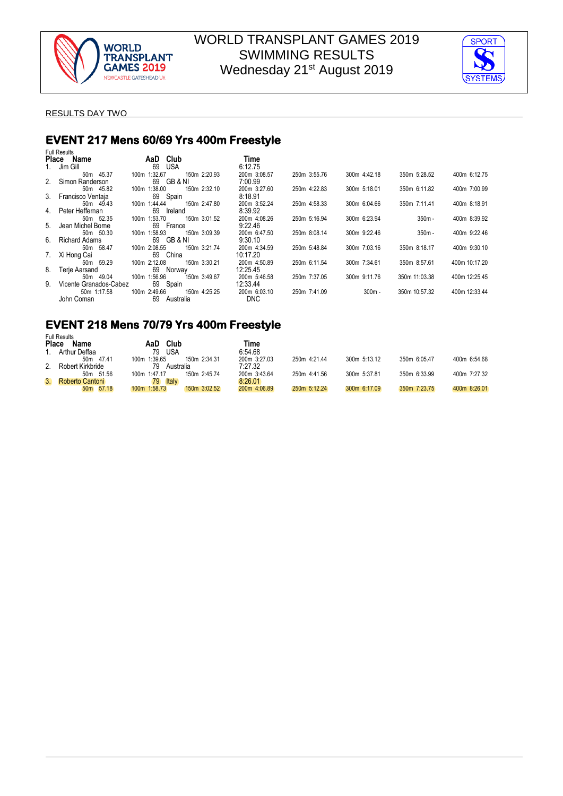

# WORLD TRANSPLANT GAMES 2019 SWIMMING RESULTS Wednesday 21<sup>st</sup> August 2019



#### RESULTS DAY TWO

## **EVENT 217 Mens 60/69 Yrs 400m Freestyle**

|              | <b>Full Results</b>    |                  |              |              |              |              |               |               |
|--------------|------------------------|------------------|--------------|--------------|--------------|--------------|---------------|---------------|
| <b>Place</b> | Name                   | AaD Club         |              | Time         |              |              |               |               |
| 1.           | Jim Gill               | <b>USA</b><br>69 |              | 6:12.75      |              |              |               |               |
|              | 50m 45.37              | 100m 1:32.67     | 150m 2:20.93 | 200m 3:08.57 | 250m 3:55.76 | 300m 4:42.18 | 350m 5:28.52  | 400m 6:12.75  |
|              | 2. Simon Randerson     | 69 GB & NI       |              | 7:00.99      |              |              |               |               |
|              | 50m 45.82              | 1:38.00<br>100m  | 150m 2:32.10 | 200m 3:27.60 | 250m 4:22.83 | 300m 5:18.01 | 350m 6:11.82  | 400m 7:00.99  |
|              | 3. Francisco Ventaja   | 69 Spain         |              | 8:18.91      |              |              |               |               |
|              | 50m 49.43              | 100m 1:44.44     | 150m 2:47.80 | 200m 3:52.24 | 250m 4:58.33 | 300m 6:04.66 | 350m 7:11.41  | 400m 8:18.91  |
|              | 4. Peter Heffernan     | 69               | Ireland      | 8:39.92      |              |              |               |               |
|              | 50m 52.35              | 100m 1:53.70     | 150m 3:01.52 | 200m 4:08.26 | 250m 5:16.94 | 300m 6:23.94 | $350m -$      | 400m 8:39.92  |
|              | 5. Jean Michel Borne   | 69 France        |              | 9:22.46      |              |              |               |               |
|              | 50m 50.30              | 1:58.93<br>100m  | 150m 3:09.39 | 200m 6:47.50 | 250m 8:08.14 | 300m 9:22.46 | $350m -$      | 400m 9:22.46  |
| 6.           | <b>Richard Adams</b>   | 69 GB & NI       |              | 9:30.10      |              |              |               |               |
|              | 50m 58.47              | 100m 2:08.55     | 150m 3:21.74 | 200m 4:34.59 | 250m 5:48.84 | 300m 7:03.16 | 350m 8:18.17  | 400m 9:30.10  |
| 7.           | Xi Hong Cai            | 69 China         |              | 10:17.20     |              |              |               |               |
|              | 50m 59.29              | 100m 2:12.08     | 150m 3:30.21 | 200m 4:50.89 | 250m 6:11.54 | 300m 7:34.61 | 350m 8:57.61  | 400m 10:17.20 |
| 8.           | Terje Aarsand          | 69 Norway        |              | 12:25.45     |              |              |               |               |
|              | 50m 49.04              | 1:56.96<br>100m  | 150m 3:49.67 | 200m 5:46.58 | 250m 7:37.05 | 300m 9:11.76 | 350m 11:03.38 | 400m 12:25.45 |
| 9.           | Vicente Granados-Cabez | 69<br>Spain      |              | 12:33.44     |              |              |               |               |
|              | 50m 1:17.58            | 100m 2:49.66     | 150m 4:25.25 | 200m 6:03.10 | 250m 7:41.09 | $300m -$     | 350m 10:57.32 | 400m 12:33.44 |
|              | John Coman             | 69               | Australia    | <b>DNC</b>   |              |              |               |               |

## **EVENT 218 Mens 70/79 Yrs 400m Freestyle**

|                | <b>Full Results</b>   |                  |              |              |              |              |              |              |
|----------------|-----------------------|------------------|--------------|--------------|--------------|--------------|--------------|--------------|
| <b>Place</b>   | Name                  | Club<br>AaD      |              | Time         |              |              |              |              |
|                | Arthur Deffaa         | USA<br>79.       |              | 6:54.68      |              |              |              |              |
|                | 50m 47.41             | 100m 1:39.65     | 150m 2:34.31 | 200m 3:27.03 | 250m 4:21.44 | 300m 5:13.12 | 350m 6:05.47 | 400m 6:54.68 |
| 2.             | Robert Kirkbride      | 79.<br>Australia |              | 7:27.32      |              |              |              |              |
|                | 50m 51.56             | 100m 1:47.17     | 150m 2:45.74 | 200m 3:43.64 | 250m 4:41.56 | 300m 5:37.81 | 350m 6:33.99 | 400m 7:27.32 |
| 3 <sub>1</sub> | Roberto Cantoni       | 79<br>Italy      |              | 8:26.01      |              |              |              |              |
|                | 50 <sub>m</sub> 57.18 | 100m 1:58.73     | 150m 3:02.52 | 200m 4:06.89 | 250m 5:12.24 | 300m 6:17.09 | 350m 7:23.75 | 400m 8:26.01 |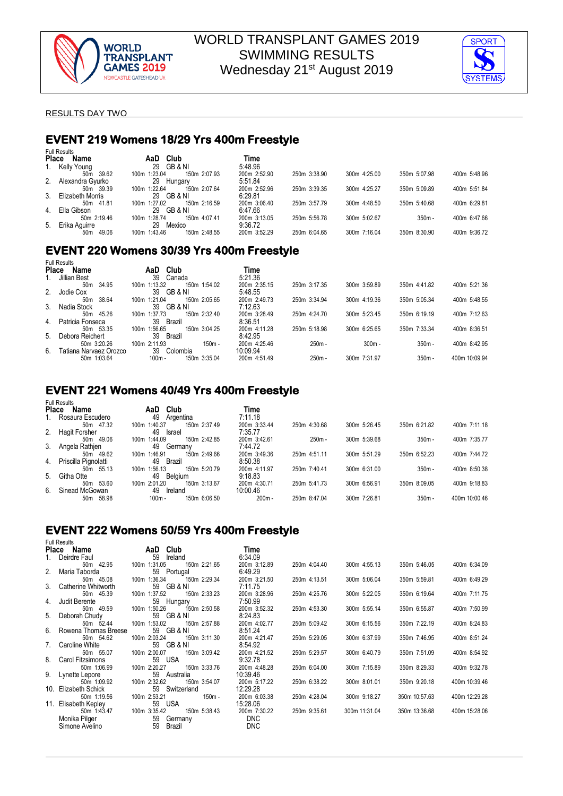



## **EVENT 219 Womens 18/29 Yrs 400m Freestyle**

| <b>Place</b>   | <b>Full Results</b><br>Name | Club<br>AaD                  | Time         |              |              |              |              |
|----------------|-----------------------------|------------------------------|--------------|--------------|--------------|--------------|--------------|
| 1.             | Kelly Young                 | 29 GB & NI                   | 5:48.96      |              |              |              |              |
|                | 50m 39.62                   | 150m 2:07.93<br>100m 1:23.04 | 200m 2:52.90 | 250m 3:38.90 | 300m 4:25.00 | 350m 5:07.98 | 400m 5:48.96 |
| 2.             | Alexandra Gyurko            | 29<br>Hungary                | 5:51.84      |              |              |              |              |
|                | 50m 39.39                   | 150m 2:07.64<br>100m 1:22.64 | 200m 2:52.96 | 250m 3:39.35 | 300m 4:25.27 | 350m 5:09.89 | 400m 5:51.84 |
| 3 <sub>1</sub> | Elizabeth Morris            | 29 GB & NI                   | 6:29.81      |              |              |              |              |
|                | 50m 41.81                   | 100m 1:27.02<br>150m 2:16.59 | 200m 3:06.40 | 250m 3:57.79 | 300m 4:48.50 | 350m 5:40.68 | 400m 6:29.81 |
| 4.             | Ella Gibson                 | 29 GB & NI                   | 6:47.66      |              |              |              |              |
|                | 50m 2:19.46                 | 100m 1:28.74<br>150m 4:07.41 | 200m 3:13.05 | 250m 5:56.78 | 300m 5:02.67 | $350m -$     | 400m 6:47.66 |
| 5.             | Erika Aguirre               | 29<br>Mexico                 | 9:36.72      |              |              |              |              |
|                | 49.06<br>50 <sub>m</sub>    | 150m 2:48.55<br>100m 1:43.46 | 200m 3:52.29 | 250m 6:04.65 | 300m 7:16.04 | 350m 8:30.90 | 400m 9:36.72 |

# **EVENT 220 Womens 30/39 Yrs 400m Freestyle**

|                | <b>Full Results</b>      |                 |              |              |              |              |              |               |
|----------------|--------------------------|-----------------|--------------|--------------|--------------|--------------|--------------|---------------|
| <b>Place</b>   | Name                     | Club<br>AaD     |              | Time         |              |              |              |               |
|                | Jillian Best             | Canada<br>39    |              | 5:21.36      |              |              |              |               |
|                | 50m 34.95                | 100m 1:13.32    | 150m 1:54.02 | 200m 2:35.15 | 250m 3:17.35 | 300m 3:59.89 | 350m 4:41.82 | 400m 5:21.36  |
| 2 <sub>1</sub> | Jodie Cox                | 39<br>GB & NI   |              | 5:48.55      |              |              |              |               |
|                | 38.64<br>50m             | 100m 1:21.04    | 150m 2:05.65 | 200m 2:49.73 | 250m 3:34.94 | 300m 4:19.36 | 350m 5:05.34 | 400m 5:48.55  |
| 3.             | Nadia Stock              | GB & NI<br>39   |              | 7:12.63      |              |              |              |               |
|                | 45.26<br>50 <sub>m</sub> | 1:37.73<br>100m | 150m 2:32.40 | 200m 3:28.49 | 250m 4:24.70 | 300m 5:23.45 | 350m 6:19.19 | 400m 7:12.63  |
| 4.             | Patricia Fonseca         | 39<br>Brazil    |              | 8:36.51      |              |              |              |               |
|                | 50m 53.35                | 1:56.65<br>100m | 150m 3:04.25 | 200m 4:11.28 | 250m 5:18.98 | 300m 6:25.65 | 350m 7:33.34 | 400m 8:36.51  |
| 5.             | Debora Reichert          | 39<br>Brazil    |              | 8:42.95      |              |              |              |               |
|                | $50m$ 3:20.26            | 100m 2:11.93    | $150m -$     | 200m 4:25.46 | $250m -$     | $300m -$     | $350m -$     | 400m 8:42.95  |
| 6.             | Tatiana Narvaez Orozco   | 39<br>Colombia  |              | 10:09.94     |              |              |              |               |
|                | 50m 1:03.64              | $100m -$        | 150m 3:35.04 | 200m 4:51.49 | $250m -$     | 300m 7:31.97 | $350m -$     | 400m 10:09.94 |

## **EVENT 221 Womens 40/49 Yrs 400m Freestyle**

|              | <b>Full Results</b>     |                              |              |              |              |              |               |
|--------------|-------------------------|------------------------------|--------------|--------------|--------------|--------------|---------------|
| <b>Place</b> | Name                    | AaD Club                     | Time         |              |              |              |               |
|              | Rosaura Escudero        | 49<br>Argentina              | 7:11.18      |              |              |              |               |
|              | 50m 47.32               | 150m 2:37.49<br>100m 1:40.37 | 200m 3:33.44 | 250m 4:30.68 | 300m 5:26.45 | 350m 6:21.82 | 400m 7:11.18  |
|              | 2. Hagit Forsher        | 49<br>Israel                 | 7:35.77      |              |              |              |               |
|              | 50m 49.06               | 100m 1:44.09<br>150m 2:42.85 | 200m 3:42.61 | 250m -       | 300m 5:39.68 | $350m -$     | 400m 7:35.77  |
|              | 3. Angela Rathjen       | 49<br>Germany                | 7:44.72      |              |              |              |               |
|              | 50m 49.62               | 150m 2:49.66<br>100m 1:46.91 | 200m 3:49.36 | 250m 4:51.11 | 300m 5:51.29 | 350m 6:52.23 | 400m 7:44.72  |
|              | 4. Priscilla Pignolatti | 49<br>Brazil                 | 8:50.38      |              |              |              |               |
|              | 50m 55.13               | 150m 5:20.79<br>100m 1:56.13 | 200m 4:11.97 | 250m 7:40.41 | 300m 6:31.00 | $350m -$     | 400m 8:50.38  |
|              | 5. Githa Otte           | Belaium<br>49                | 9:18.83      |              |              |              |               |
|              | 50m 53.60               | 100m 2:01.20<br>150m 3:13.67 | 200m 4:30.71 | 250m 5:41.73 | 300m 6:56.91 | 350m 8:09.05 | 400m 9:18.83  |
| 6.           | Sinead McGowan          | 49<br>Ireland                | 10:00.46     |              |              |              |               |
|              | 50m 58.98               | 150m 6:06.50<br>$100m -$     | $200m -$     | 250m 8:47.04 | 300m 7:26.81 | $350m -$     | 400m 10:00.46 |

## **EVENT 222 Womens 50/59 Yrs 400m Freestyle**

|    | <b>Full Results</b>            |                 |                            |                          |              |               |               |               |
|----|--------------------------------|-----------------|----------------------------|--------------------------|--------------|---------------|---------------|---------------|
|    | Place Name                     | AaD Club        |                            | Time                     |              |               |               |               |
|    | 1. Deirdre Faul                | 59              | Ireland                    | 6:34.09                  |              |               |               |               |
|    | 50m 42.95                      | 100m 1:31.05    | 150m 2:21.65               | 200m 3:12.89             | 250m 4:04.40 | 300m 4:55.13  | 350m 5:46.05  | 400m 6:34.09  |
|    | 2. Maria Taborda               |                 | 59 Portugal                | 6:49.29                  |              |               |               |               |
|    | 45.08<br>50m                   | 1:36.34<br>100m | 150m 2:29.34               | 200m 3:21.50             | 250m 4:13.51 | 300m 5:06.04  | 350m 5:59.81  | 400m 6:49.29  |
|    | 3. Catherine Whitworth         | 59              | GB & NI                    | 7:11.75                  |              |               |               |               |
|    | 50m 45.39                      | 100m 1:37.52    | 150m 2:33.23               | 200m 3:28.96             | 250m 4:25.76 | 300m 5:22.05  | 350m 6:19.64  | 400m 7:11.75  |
| 4. | Judit Berente                  | 59              | Hungary                    | 7:50.99                  |              |               |               |               |
|    | 50m 49.59                      | 100m 1:50.26    | 150m 2:50.58               | 200m 3:52.32             | 250m 4:53.30 | 300m 5:55.14  | 350m 6:55.87  | 400m 7:50.99  |
| 5. | Deborah Chudy                  | 59              | GB & NI                    | 8:24.83                  |              |               |               |               |
|    | 50m 52.44                      | 100m 1:53.02    | 150m 2:57.88               | 200m 4:02.77             | 250m 5:09.42 | 300m 6:15.56  | 350m 7:22.19  | 400m 8:24.83  |
|    | 6. Rowena Thomas Breese        |                 | 59 GB & NI                 | 8:51.24                  |              |               |               |               |
|    | 50m 54.62                      | 100m 2:03.24    | 150m 3:11.30<br>59 GB & NI | 200m 4:21.47<br>8:54.92  | 250m 5:29.05 | 300m 6:37.99  | 350m 7:46.95  | 400m 8:51.24  |
|    | 7. Caroline White<br>50m 55.07 | 100m 2:00.07    | 150m 3:09.42               | 200m 4:21.52             | 250m 5:29.57 | 300m 6:40.79  | 350m 7:51.09  | 400m 8:54.92  |
|    | 8. Carol Fitzsimons            |                 | 59 USA                     | 9:32.78                  |              |               |               |               |
|    | 50m 1:06.99                    | 100m 2:20.27    | 150m 3:33.76               | 200m 4:48.28             | 250m 6:04.00 | 300m 7:15.89  | 350m 8:29.33  | 400m 9:32.78  |
|    | 9. Lynette Lepore              |                 | 59 Australia               | 10:39.46                 |              |               |               |               |
|    | 50m 1:09.92                    | 100m 2:32.62    | 150m 3:54.07               | 200m 5:17.22             | 250m 6:38.22 | 300m 8:01.01  | 350m 9:20.18  | 400m 10:39.46 |
|    | 10. Elizabeth Schick           | 59              | Switzerland                | 12:29.28                 |              |               |               |               |
|    | 50m 1:19.56                    | 100m 2:53.21    |                            | $150m -$<br>200m 6:03.38 | 250m 4:28.04 | 300m 9:18.27  | 350m 10:57.63 | 400m 12:29.28 |
|    | 11. Elisabeth Kepley           | 59              | USA                        | 15:28.06                 |              |               |               |               |
|    | 50m 1:43.47                    | 100m 3:35.42    | 150m 5:38.43               | 200m 7:30.22             | 250m 9:35.61 | 300m 11:31.04 | 350m 13:36.68 | 400m 15:28.06 |
|    | Monika Pilger                  | 59              | Germany                    | <b>DNC</b>               |              |               |               |               |
|    | Simone Avelino                 | 59              | Brazil                     | <b>DNC</b>               |              |               |               |               |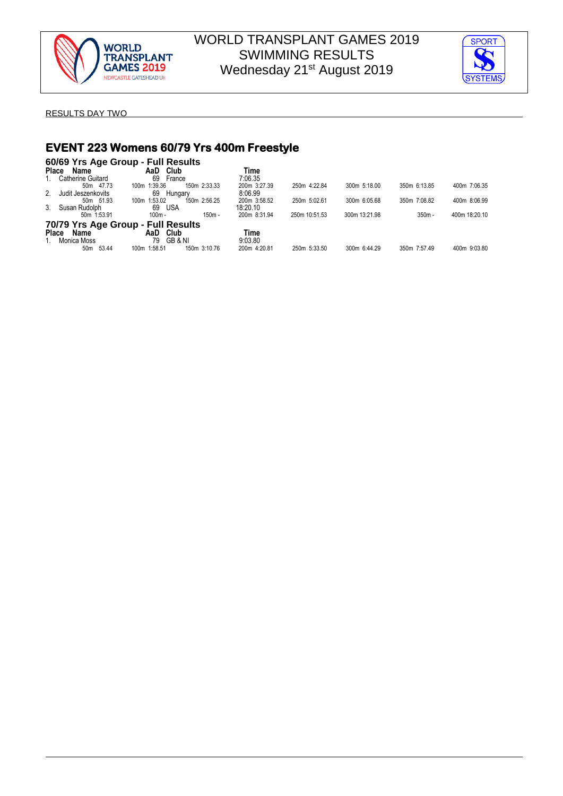



## **EVENT 223 Womens 60/79 Yrs 400m Freestyle**

|    | 60/69 Yrs Age Group - Full Results |                                    |              |               |               |              |               |  |
|----|------------------------------------|------------------------------------|--------------|---------------|---------------|--------------|---------------|--|
|    | Name<br><b>Place</b>               | AaD Club                           | Time         |               |               |              |               |  |
|    | Catherine Guitard                  | 69<br>France                       | 7:06.35      |               |               |              |               |  |
|    | 50m 47.73                          | 100m 1:39.36<br>150m 2:33.33       | 200m 3:27.39 | 250m 4:22.84  | 300m 5:18.00  | 350m 6:13.85 | 400m 7:06.35  |  |
| 2. | Judit Jeszenkovits                 | 69<br>Hungary                      | 8:06.99      |               |               |              |               |  |
|    | 50m 51.93                          | 150m 2:56.25<br>100m 1:53.02       | 200m 3:58.52 | 250m 5:02.61  | 300m 6:05.68  | 350m 7:08.82 | 400m 8:06.99  |  |
| 3. | Susan Rudolph                      | 69 USA                             | 18:20.10     |               |               |              |               |  |
|    | 50m 1:53.91                        | $150m -$<br>$100m -$               | 200m 8:31.94 | 250m 10:51.53 | 300m 13:21.98 | $350m -$     | 400m 18:20.10 |  |
|    |                                    | 70/79 Yrs Age Group - Full Results |              |               |               |              |               |  |
|    | Name<br><b>Place</b>               | Club<br>AaD                        | Time         |               |               |              |               |  |
|    | Monica Moss                        | GB & NI<br>79                      | 9:03.80      |               |               |              |               |  |
|    | 53.44<br>50 <sub>m</sub>           | 100m 1:58.51<br>150m 3:10.76       | 200m 4:20.81 | 250m 5:33.50  | 300m 6:44.29  | 350m 7:57.49 | 400m 9:03.80  |  |
|    |                                    |                                    |              |               |               |              |               |  |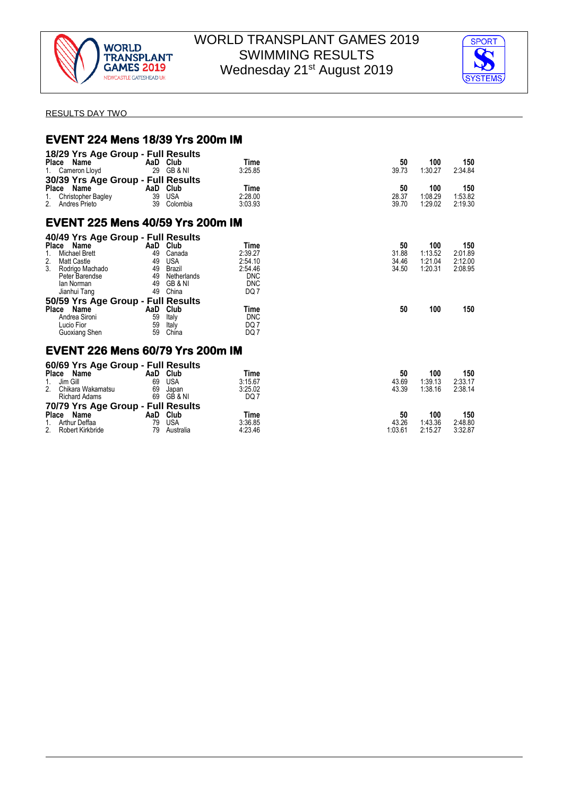



| <b>EVENT 224 Mens 18/39 Yrs 200m IM</b>                                                                                                                                                                                   |                                                                                                                        |                                                                                   |                                     |                                             |                                             |
|---------------------------------------------------------------------------------------------------------------------------------------------------------------------------------------------------------------------------|------------------------------------------------------------------------------------------------------------------------|-----------------------------------------------------------------------------------|-------------------------------------|---------------------------------------------|---------------------------------------------|
| 18/29 Yrs Age Group - Full Results<br>Place Name<br>Cameron Lloyd<br>30/39 Yrs Age Group - Full Results<br>Place Name<br><b>Christopher Bagley</b><br>1.<br>2.<br>Andres Prieto                                           | AaD Club<br>29 GB & NI<br>AaD Club<br>39 USA<br>39<br>Colombia                                                         | Time<br>3:25.85<br>Time<br>2:28.00<br>3:03.93                                     | 50<br>39.73<br>50<br>28.37<br>39.70 | 100<br>1:30.27<br>100<br>1:08.29<br>1:29.02 | 150<br>2:34.84<br>150<br>1:53.82<br>2:19.30 |
| <b>EVENT 225 Mens 40/59 Yrs 200m IM</b>                                                                                                                                                                                   |                                                                                                                        |                                                                                   |                                     |                                             |                                             |
| 40/49 Yrs Age Group - Full Results<br>Place Name<br>Michael Brett<br>1.<br>2.<br>Matt Castle<br>3.<br>Rodrigo Machado<br>Peter Barendse<br>lan Norman<br>Jianhui Tang<br>50/59 Yrs Age Group - Full Results<br>Place Name | AaD Club<br>49<br>Canada<br>49<br>USA<br>49<br>Brazil<br>Netherlands<br>49<br>49<br>GB & NI<br>China<br>49<br>AaD Club | Time<br>2:39.27<br>2:54.10<br>2:54.46<br><b>DNC</b><br><b>DNC</b><br>DQ 7<br>Time | 50<br>31.88<br>34.46<br>34.50<br>50 | 100<br>1:13.52<br>1:21.04<br>1:20.31<br>100 | 150<br>2:01.89<br>2:12.00<br>2:08.95<br>150 |
| Andrea Sironi<br>Lucio Fior<br>Guoxiang Shen                                                                                                                                                                              | 59<br>Italy<br>59<br>Italy<br>59<br>China                                                                              | <b>DNC</b><br>DQ 7<br>DQ 7                                                        |                                     |                                             |                                             |
| <b>EVENT 226 Mens 60/79 Yrs 200m IM</b><br>60/69 Yrs Age Group - Full Results                                                                                                                                             |                                                                                                                        |                                                                                   |                                     |                                             |                                             |
| Place Name<br>Jim Gill<br>$1_{-}$<br>2.<br>Chikara Wakamatsu<br><b>Richard Adams</b>                                                                                                                                      | AaD Club<br>69<br>USA<br>69<br>Japan<br>69 GB & NI                                                                     | Time<br>3:15.67<br>3:25.02<br>DQ 7                                                | 50<br>43.69<br>43.39                | 100<br>1:39.13<br>1:38.16                   | 150<br>2:33.17<br>2:38.14                   |
| 70/79 Yrs Age Group - Full Results<br>Place Name<br>Arthur Deffaa<br>2.<br>Robert Kirkbride                                                                                                                               | AaD Club<br>USA<br>79<br>79<br>Australia                                                                               | Time<br>3:36.85<br>4:23.46                                                        | 50<br>43.26<br>1:03.61              | 100<br>1:43.36<br>2:15.27                   | 150<br>2:48.80<br>3:32.87                   |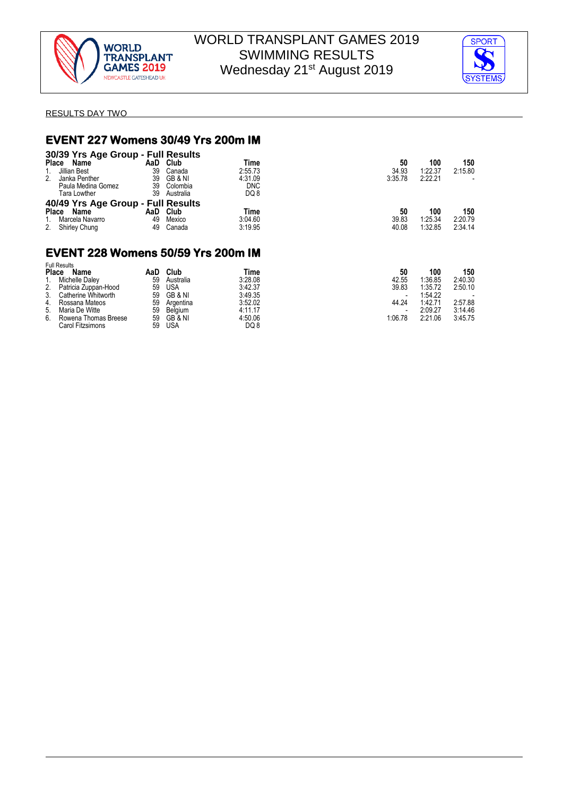



### **EVENT 227 Womens 30/49 Yrs 200m IM**

| 30/39 Yrs Age Group - Full Results<br><b>Place</b><br>Name<br>Jillian Best<br>2 <sub>1</sub><br>Janka Penther<br>Paula Medina Gomez<br><b>Tara Lowther</b> | AaD<br>39<br>39<br>39<br>39 | Club<br>Canada<br>GB & NI<br>Colombia<br>Australia | Time<br>2:55.73<br>4:31.09<br><b>DNC</b><br>DQ 8 | 50<br>34.93<br>3:35.78 | 100<br>1:22.37<br>2:22.21 | 150<br>2:15.80            |
|------------------------------------------------------------------------------------------------------------------------------------------------------------|-----------------------------|----------------------------------------------------|--------------------------------------------------|------------------------|---------------------------|---------------------------|
| 40/49 Yrs Age Group - Full Results<br><b>Place</b><br>Name<br>Marcela Navarro<br>2.<br>Shirley Chung                                                       | AaD<br>49<br>49             | Club<br>Mexico<br>Canada                           | Time<br>3:04.60<br>3:19.95                       | 50<br>39.83<br>40.08   | 100<br>1:25.34<br>1:32.85 | 150<br>2:20.79<br>2:34.14 |

## **EVENT 228 Womens 50/59 Yrs 200m IM**

|              | <b>Full Results</b>  |     |           |         |                          |         |         |
|--------------|----------------------|-----|-----------|---------|--------------------------|---------|---------|
| <b>Place</b> | Name                 | AaD | Club      | Time    | 50                       | 100     | 150     |
| 1.           | Michelle Daley       | 59  | Australia | 3:28.08 | 42.55                    | 1:36.85 | 2:40.30 |
| 2.           | Patricia Zuppan-Hood | 59  | USA       | 3:42.37 | 39.83                    | 1:35.72 | 2:50.10 |
| 3.           | Catherine Whitworth  | 59  | GB & NI   | 3:49.35 | $\overline{\phantom{a}}$ | 1:54.22 |         |
| 4.           | Rossana Mateos       | 59  | Argentina | 3:52.02 | 44.24                    | 1:42.71 | 2:57.88 |
| 5.           | Maria De Witte       | 59  | Belaium   | 4:11.17 |                          | 2:09.27 | 3:14.46 |
| 6.           | Rowena Thomas Breese | 59  | GB & NI   | 4:50.06 | 1:06.78                  | 2:21.06 | 3:45.75 |
|              | Carol Fitzsimons     | 59  | USA       | DQ 8    |                          |         |         |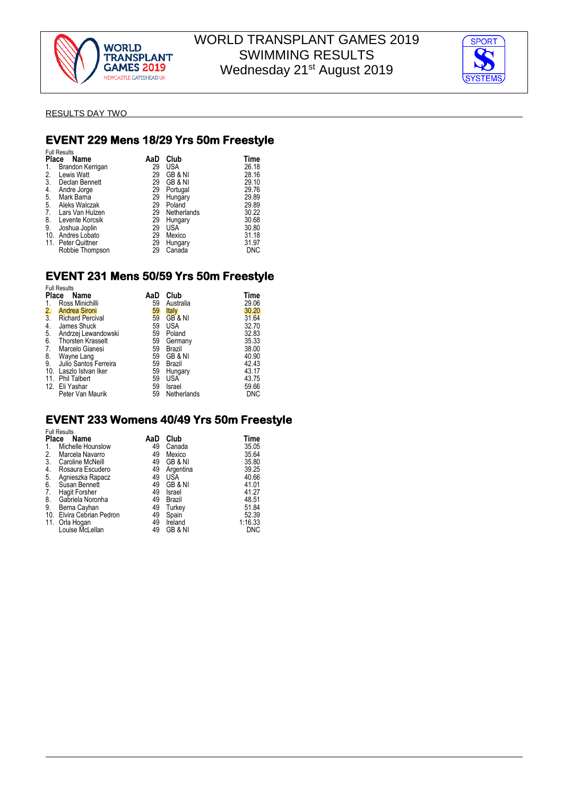



# **EVENT 229 Mens 18/29 Yrs 50m Freestyle**

|       | <b>Full Results</b> |     |             |       |
|-------|---------------------|-----|-------------|-------|
| Place | Name                | AaD | Club        | Time  |
| 1.    | Brandon Kerrigan    | 29  | <b>USA</b>  | 26.18 |
| 2.    | Lewis Watt          | 29  | GB & NI     | 28.16 |
| 3.    | Declan Bennett      | 29  | GB & NI     | 29.10 |
| 4.    | Andre Jorge         | 29  | Portugal    | 29.76 |
| 5.    | Mark Barna          | 29  | Hungary     | 29.89 |
| 5.    | Aleks Walczak       | 29  | Poland      | 29.89 |
| 7.    | Lars Van Hulzen     | 29  | Netherlands | 30.22 |
| 8.    | Levente Korcsik     | 29  | Hungary     | 30.68 |
| 9.    | Joshua Joplin       | 29  | <b>USA</b>  | 30.80 |
|       | 10. Andres Lobato   | 29  | Mexico      | 31.18 |
|       | 11. Peter Quittner  | 29  | Hungary     | 31.97 |
|       | Robbie Thompson     | 29  | Canada      | DNC   |

#### **EVENT 231 Mens 50/59 Yrs 50m Freestyle**  Full Result

|                  | Full Results             |     |              |            |
|------------------|--------------------------|-----|--------------|------------|
| <b>Place</b>     | <b>Name</b>              | AaD | Club         | Time       |
| 1.               | Ross Minichilli          | 59  | Australia    | 29.06      |
| 2.               | <b>Andrea Sironi</b>     | 59  | <b>Italy</b> | 30.20      |
| $\overline{3}$ . | <b>Richard Percival</b>  | 59  | GB & NI      | 31.64      |
| 4.               | James Shuck              | 59  | <b>USA</b>   | 32.70      |
| 5.               | Andrzej Lewandowski      | 59  | Poland       | 32.83      |
| 6.               | <b>Thorsten Krasselt</b> | 59  | Germany      | 35.33      |
| 7.               | Marcelo Gianesi          | 59  | Brazil       | 38.00      |
| 8.               | Wayne Lang               | 59  | GB & NI      | 40.90      |
| 9.               | Julio Santos Ferreira    | 59  | Brazil       | 42.43      |
|                  | 10. Laszlo Istvan Iker   | 59  | Hungary      | 43.17      |
| 11.              | <b>Phil Talbert</b>      | 59  | <b>USA</b>   | 43.75      |
|                  | 12. Eli Yashar           | 59  | Israel       | 59.66      |
|                  | Peter Van Maurik         | 59  | Netherlands  | <b>DNC</b> |
|                  |                          |     |              |            |

#### **EVENT 233 Womens 40/49 Yrs 50m Freestyle**  Full Results

| Place            | <b>FUIL RESULS</b><br>Name | AaD | Club       | Time    |
|------------------|----------------------------|-----|------------|---------|
| 1.               | Michelle Hounslow          | 49  | Canada     | 35.05   |
| 2.               | Marcela Navarro            | 49  | Mexico     | 35.64   |
| $\overline{3}$ . | Caroline McNeill           | 49  | GB & NI    | 35.80   |
| 4.               | Rosaura Escudero           | 49  | Argentina  | 39.25   |
| $\frac{5}{6}$    | Agnieszka Rapacz           | 49  | <b>USA</b> | 40.66   |
|                  | Susan Bennett              | 49  | GB & NI    | 41.01   |
| 7.               | <b>Hagit Forsher</b>       | 49  | Israel     | 41.27   |
| 8.               | Gabriela Noronha           | 49  | Brazil     | 48.51   |
| 9.               | Berna Cayhan               | 49  | Turkey     | 51.84   |
|                  | 10. Elvira Cebrian Pedron  | 49  | Spain      | 52.39   |
| 11.              | Orla Hogan                 | 49  | Ireland    | 1:16.33 |
|                  | Louise McLellan            | 49  | GB & NI    | DNC     |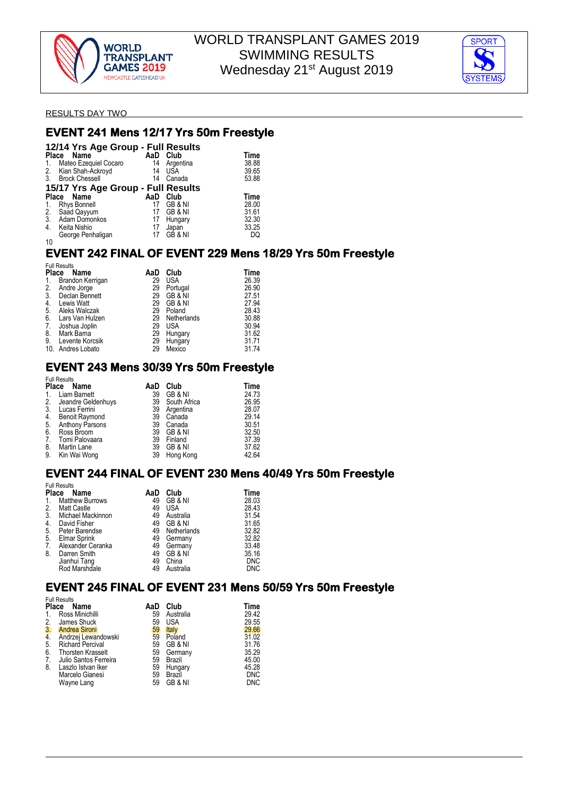



# **EVENT 241 Mens 12/17 Yrs 50m Freestyle**

|                 | 12/14 Yrs Age Group - Full Results |     |            |       |
|-----------------|------------------------------------|-----|------------|-------|
| Place           | Name                               | AaD | Club       | Time  |
| $\mathbf{1}$ .  | Mateo Ezequiel Cocaro              | 14  | Argentina  | 38.88 |
| 2.              | Kian Shah-Ackroyd                  | 14  | <b>USA</b> | 39.65 |
| 3 <sub>1</sub>  | <b>Brock Chessell</b>              | 14  | Canada     | 53.88 |
|                 | 15/17 Yrs Age Group - Full Results |     |            |       |
| <b>Place</b>    | Name                               | AaD | Club       | Time  |
| 1.              | <b>Rhys Bonnell</b>                | 17  | GB & NI    | 28.00 |
| $\frac{2}{3}$ . | Saad Qayyum                        | 17  | GB & NI    | 31.61 |
|                 | Adam Domonkos                      | 17  | Hungary    | 32.30 |
| 4.              | Keita Nishio                       | 17  | Japan      | 33.25 |
|                 | George Penhaligan                  | 17  | GB & NI    | DQ    |
| 10              |                                    |     |            |       |

### **EVENT 242 FINAL OF EVENT 229 Mens 18/29 Yrs 50m Freestyle**

| <b>Full Results</b>  |     |             |                    |
|----------------------|-----|-------------|--------------------|
| <b>Place</b><br>Name | AaD | Club        | Time               |
| Brandon Kerrigan     | 29  | <b>USA</b>  | 26.39              |
| Andre Jorge          | 29  | Portugal    | 26.90              |
| Declan Bennett       | 29  | GB & NI     | 27.51              |
| Lewis Watt           | 29  | GB & NI     | 27.94              |
| Aleks Walczak        | 29  | Poland      | 28.43              |
| Lars Van Hulzen      | 29  | Netherlands | 30.88              |
| Joshua Joplin        | 29  | <b>USA</b>  | 30.94              |
| Mark Barna           | 29  |             | 31.62              |
| Levente Korcsik      | 29  |             | 31.71              |
| 10. Andres Lobato    | 29  | Mexico      | 31.74              |
|                      |     |             | Hungary<br>Hungary |

#### **EVENT 243 Mens 30/39 Yrs 50m Freestyle**

| <b>Full Results</b> |                                                                                                                                                                    |              |       |
|---------------------|--------------------------------------------------------------------------------------------------------------------------------------------------------------------|--------------|-------|
| Name                | AaD                                                                                                                                                                | Club         | Time  |
|                     | 39                                                                                                                                                                 | GB & NI      | 24.73 |
|                     | 39                                                                                                                                                                 | South Africa | 26.95 |
|                     | 39                                                                                                                                                                 | Argentina    | 28.07 |
|                     | 39                                                                                                                                                                 | Canada       | 29.14 |
|                     | 39                                                                                                                                                                 | Canada       | 30.51 |
| Ross Broom          | 39                                                                                                                                                                 | GB & NI      | 32.50 |
|                     | 39                                                                                                                                                                 | Finland      | 37.39 |
|                     | 39                                                                                                                                                                 | GB & NI      | 37.62 |
|                     | 39                                                                                                                                                                 | Hong Kong    | 42.64 |
|                     | <b>Place</b><br>1. Liam Barnett<br>2. Jeandre Geldenhuys<br>3. Lucas Ferrini<br>Benoit Raymond<br>Anthony Parsons<br>Tomi Palovaara<br>Martin Lane<br>Kin Wai Wong |              |       |

### **EVENT 244 FINAL OF EVENT 230 Mens 40/49 Yrs 50m Freestyle**

|                | <b>Full Results</b>    |     |             |       |
|----------------|------------------------|-----|-------------|-------|
|                | Place Name             | AaD | Club        | Time  |
| 1.             | <b>Matthew Burrows</b> | 49  | GB & NI     | 28.03 |
| 2.             | Matt Castle            | 49  | USA         | 28.43 |
| 3 <sub>1</sub> | Michael Mackinnon      | 49  | Australia   | 31.54 |
| 4.             | David Fisher           | 49  | GB & NI     | 31.65 |
| 5 <sub>1</sub> | Peter Barendse         | 49  | Netherlands | 32.82 |
| 5.             | Elmar Sprink           | 49  | Germany     | 32.82 |
| 7.             | Alexander Ceranka      | 49  | Germany     | 33.48 |
| 8.             | Darren Smith           | 49  | GB & NI     | 35.16 |
|                | Jianhui Tang           | 49  | China       | DNC   |
|                | Rod Marshdale          | 49  | Australia   | DNC   |
|                |                        |     |             |       |

## **EVENT 245 FINAL OF EVENT 231 Mens 50/59 Yrs 50m Freestyle**

|    | <b>Full Results</b>     |     |              |       |
|----|-------------------------|-----|--------------|-------|
|    | Place<br>Name           | AaD | Club         | Time  |
| 1. | Ross Minichilli         | 59  | Australia    | 29.42 |
|    | 2. James Shuck          | 59  | <b>USA</b>   | 29.55 |
|    | 3. Andrea Sironi        | 59  | <b>Italy</b> | 29.66 |
| 4. | Andrzej Lewandowski     | 59  | Poland       | 31.02 |
| 5. | <b>Richard Percival</b> | 59  | GB & NI      | 31.76 |
| 6. | Thorsten Krasselt       | 59  | Germany      | 35.29 |
| 7. | Julio Santos Ferreira   | 59  | Brazil       | 45.00 |
| 8. | Laszlo Istvan Iker      | 59  | Hungary      | 45.28 |
|    | Marcelo Gianesi         | 59  | Brazil       | DNC   |
|    | Wayne Lang              | 59  | GB & NI      | DNC   |
|    |                         |     |              |       |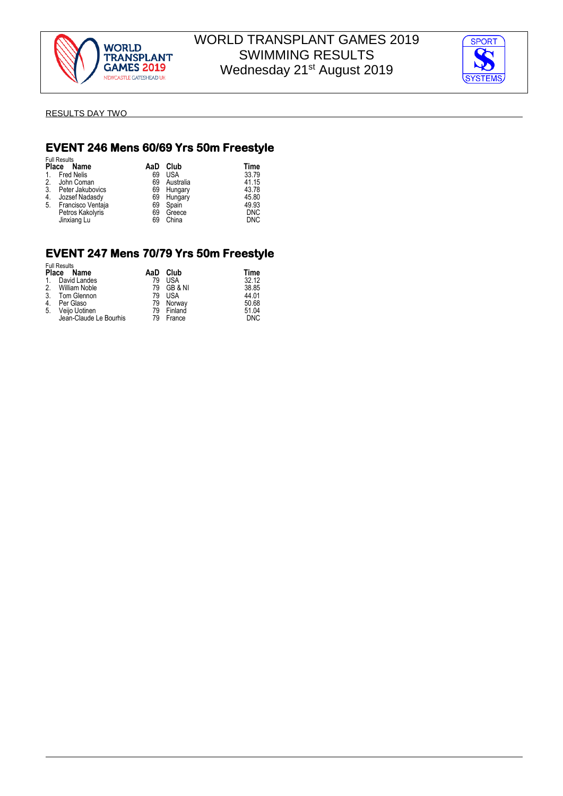



## **EVENT 246 Mens 60/69 Yrs 50m Freestyle**

|    | <b>Full Results</b>  |     |            |            |
|----|----------------------|-----|------------|------------|
|    | Place Name           | AaD | Club       | Time       |
| 1. | Fred Nelis           | 69  | <b>USA</b> | 33.79      |
|    | 2. John Coman        | 69  | Australia  | 41.15      |
|    | 3. Peter Jakubovics  |     | 69 Hungary | 43.78      |
| 4. | Jozsef Nadasdy       |     | 69 Hungary | 45.80      |
|    | 5. Francisco Ventaja | 69  | Spain      | 49.93      |
|    | Petros Kakolyris     | 69  | Greece     | <b>DNC</b> |
|    | Jinxiang Lu          | 69  | China      | <b>DNC</b> |

## **EVENT 247 Mens 70/79 Yrs 50m Freestyle**

| <b>Full Results</b>    |     |            |            |
|------------------------|-----|------------|------------|
| Place Name             | AaD | Club       | Time       |
| David Landes           | 79  | USA        | 32.12      |
| 2. William Noble       | 79  | GB & NI    | 38.85      |
| 3. Tom Glennon         | 79  | <b>USA</b> | 44.01      |
| Per Glaso              | 79  | Norway     | 50.68      |
| Veijo Uotinen          | 79  |            | 51.04      |
| Jean-Claude Le Bourhis | 79  | France     | <b>DNC</b> |
|                        |     |            | Finland    |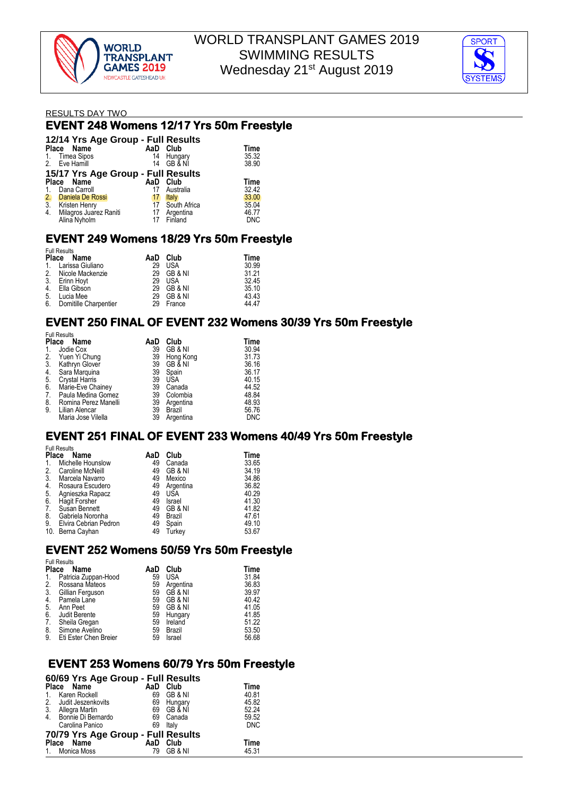



# **EVENT 248 Womens 12/17 Yrs 50m Freestyle**

|    | 12/14 Yrs Age Group - Full Results<br>Place Name<br>1. Timea Sipos                                   | AaD Club<br>14 | Hungary                                                              | Time<br>35.32                           |
|----|------------------------------------------------------------------------------------------------------|----------------|----------------------------------------------------------------------|-----------------------------------------|
|    | 2. Eve Hamill                                                                                        | 14             | GB & NI                                                              | 38.90                                   |
|    | 15/17 Yrs Age Group - Full Results<br>Place Name                                                     | AaD            | Club                                                                 | Time                                    |
| 1. | Dana Carroll<br>2. Daniela De Rossi<br>3. Kristen Henry<br>4. Milagros Juarez Raniti<br>Alina Nyholm | 17<br>17<br>17 | Australia<br><b>Italy</b><br>17 South Africa<br>Argentina<br>Finland | 32.42<br>33.00<br>35.04<br>46.77<br>DNC |

# **EVENT 249 Womens 18/29 Yrs 50m Freestyle**

|            | <b>Full Results</b>      |     |            |       |
|------------|--------------------------|-----|------------|-------|
| Place Name |                          | AaD | Club       | Time  |
|            | 1. Larissa Giuliano      | 29  | <b>USA</b> | 30.99 |
|            | 2. Nicole Mackenzie      | 29  | GB & NI    | 31.21 |
|            | 3. Erinn Hoyt            | 29  | USA        | 32.45 |
|            | 4. Ella Gibson           | 29  | GB & NI    | 35.10 |
| 5.         | Lucia Mee                | 29  | GB & NI    | 43.43 |
|            | 6. Domitille Charpentier | 29  | France     | 44.47 |

## **EVENT 250 FINAL OF EVENT 232 Womens 30/39 Yrs 50m Freestyle**

|                                            | <b>Full Results</b>                   |     |           |       |
|--------------------------------------------|---------------------------------------|-----|-----------|-------|
|                                            | Place Name                            | AaD | Club      | Time  |
| 1.                                         | Jodie Cox                             | 39  | GB & NI   | 30.94 |
|                                            | 2. Yuen Yi Chung<br>3. Kathryn Glover | 39  | Hong Kong | 31.73 |
|                                            |                                       | 39  | GB & NI   | 36.16 |
| $\begin{array}{c} 4 \\ 5 \\ 6 \end{array}$ | Sara Marquina                         | 39  | Spain     | 36.17 |
|                                            | <b>Crystal Harris</b>                 | 39  | USA       | 40.15 |
|                                            | Marie-Eve Chainey                     | 39  | Canada    | 44.52 |
| 7.                                         | Paula Medina Gomez                    | 39  | Colombia  | 48.84 |
| 8.<br>9.                                   | Romina Perez Manelli                  | 39  | Argentina | 48.93 |
|                                            | Lilian Alencar                        | 39  | Brazil    | 56.76 |
|                                            | Maria Jose Vilella                    | 39  | Argentina | DNC   |
|                                            |                                       |     |           |       |

### **EVENT 251 FINAL OF EVENT 233 Womens 40/49 Yrs 50m Freestyle**

|                                       | <b>Full Results</b>      |     |           |       |
|---------------------------------------|--------------------------|-----|-----------|-------|
|                                       | Place Name               | AaD | Club      | Time  |
| 1.                                    | Michelle Hounslow        | 49  | Canada    | 33.65 |
|                                       | 2. Caroline McNeill      | 49  | GB & NI   | 34.19 |
| 3.                                    | Marcela Navarro          | 49  | Mexico    | 34.86 |
| 4.                                    | Rosaura Escudero         | 49  | Argentina | 36.82 |
| $\begin{array}{c} 5 \\ 6 \end{array}$ | Agnieszka Rapacz         | 49  | USA       | 40.29 |
|                                       | Hagit Forsher            | 49  | Israel    | 41.30 |
| 7.                                    | Susan Bennett            | 49  | GB & NI   | 41.82 |
| 8.                                    | Gabriela Noronha         | 49  | Brazil    | 47.61 |
|                                       | 9. Elvira Cebrian Pedron | 49  | Spain     | 49.10 |
|                                       | 10. Berna Cayhan         | 49  | Turkev    | 53.67 |
|                                       |                          |     |           |       |

## **EVENT 252 Womens 50/59 Yrs 50m Freestyle**

| AaD                                                                                                                                                                                                           | Club       | Time    |
|---------------------------------------------------------------------------------------------------------------------------------------------------------------------------------------------------------------|------------|---------|
| 59                                                                                                                                                                                                            | <b>USA</b> | 31.84   |
| 59                                                                                                                                                                                                            | Argentina  | 36.83   |
| 59                                                                                                                                                                                                            | GB & NI    | 39.97   |
| 59                                                                                                                                                                                                            | GB & NI    | 40.42   |
| 59                                                                                                                                                                                                            | GB & NI    | 41.05   |
| 59                                                                                                                                                                                                            |            | 41.85   |
| 59                                                                                                                                                                                                            | Ireland    | 51.22   |
| 59                                                                                                                                                                                                            | Brazil     | 53.50   |
| 59                                                                                                                                                                                                            | Israel     | 56.68   |
| <b>Full Results</b><br>Place Name<br>1. Patricia Zuppan-Hood<br>2. Rossana Mateos<br>Gillian Ferguson<br>Pamela Lane<br>Ann Peet<br>Judit Berente<br>Sheila Gregan<br>Simone Avelino<br>Eti Ester Chen Breier |            | Hungary |

## **EVENT 253 Womens 60/79 Yrs 50m Freestyle**

|         | 60/69 Yrs Age Group - Full Results         |          |         |       |
|---------|--------------------------------------------|----------|---------|-------|
|         | Place Name                                 | AaD Club |         | Time  |
| $1_{-}$ | Karen Rockell                              | 69       | GB & NI | 40.81 |
|         |                                            | 69       | Hungary | 45.82 |
|         | 2. Judit Jeszenkovits<br>3. Allegra Martin | 69       | GB & NÌ | 52.24 |
| 4.      | Bonnie Di Bernardo                         | 69       | Canada  | 59.52 |
|         | Carolina Panico                            | 69       | Italy   | DNC   |
|         | 70/79 Yrs Age Group - Full Results         |          |         |       |
|         | Place Name                                 | AaD      | Club    | Time  |
|         | 1. Monica Moss                             | 79       | GB & NI | 45.31 |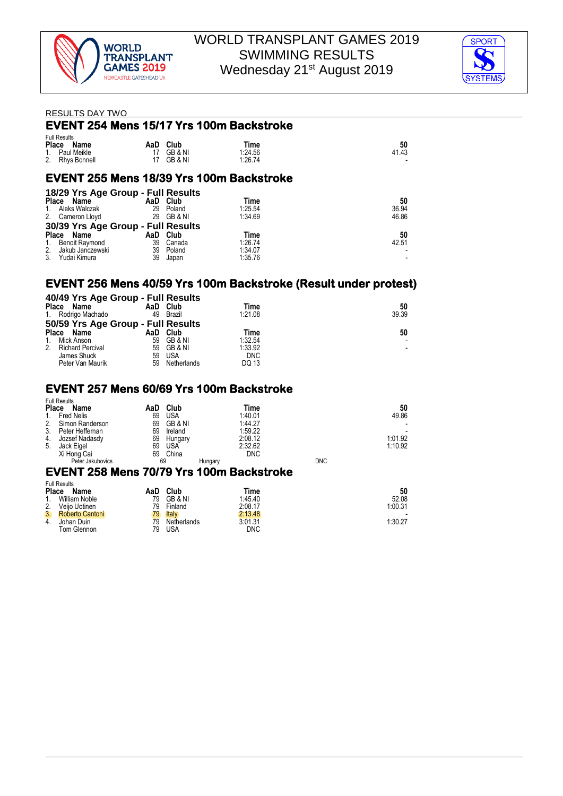



| <b>EVENT 254 Mens 15/17 Yrs 100m Backstroke</b>                     |                 |                            |                            |             |
|---------------------------------------------------------------------|-----------------|----------------------------|----------------------------|-------------|
| <b>Full Results</b><br>Place Name<br>Paul Meikle<br>2. Rhys Bonnell | AaD<br>17<br>17 | Club<br>GB & NI<br>GB & NI | Time<br>1:24.56<br>1:26.74 | 50<br>41.43 |

#### **EVENT 255 Mens 18/39 Yrs 100m Backstroke**

| 18/29 Yrs Age Group - Full Results |    |            |         |       |
|------------------------------------|----|------------|---------|-------|
| Place Name                         |    | AaD Club   | Time    | 50    |
| Aleks Walczak<br>$1_{\cdot}$       | 29 | Poland     | 1:25.54 | 36.94 |
| 2. Cameron Lloyd                   |    | 29 GB & NI | 1:34.69 | 46.86 |
| 30/39 Yrs Age Group - Full Results |    |            |         |       |
| Place Name                         |    | AaD Club   | Time    | 50    |
| 1. Benoit Raymond                  | 39 | Canada     | 1:26.74 | 42.51 |
| 2. Jakub Janczewski                | 39 | Poland     | 1:34.07 |       |
| 3.<br>Yudai Kimura                 | 39 | Japan      | 1:35.76 |       |

# **EVENT 256 Mens 40/59 Yrs 100m Backstroke (Result under protest)**

|    | 40/49 Yrs Age Group - Full Results<br>Place Name<br>1. Rodrigo Machado | 49       | AaD Club<br>Brazil | Time<br>1:21.08       | 50<br>39.39 |
|----|------------------------------------------------------------------------|----------|--------------------|-----------------------|-------------|
|    | 50/59 Yrs Age Group - Full Results<br>Place Name                       | AaD Club |                    | Time                  | 50          |
| 1. | Mick Anson                                                             | 59       | GB & NI            | 1:32.54               |             |
| 2. | <b>Richard Percival</b>                                                | 59       | GB & NI<br>USA     | 1:33.92<br><b>DNC</b> |             |
|    | James Shuck<br>Peter Van Maurik                                        | 59<br>59 | Netherlands        | DQ 13                 |             |

## **EVENT 257 Mens 60/69 Yrs 100m Backstroke**

|    | <b>Full Results</b>  |     |            |         |         |            |         |
|----|----------------------|-----|------------|---------|---------|------------|---------|
|    | <b>Place</b><br>Name | AaD | Club       |         | Time    |            | 50      |
| 1. | <b>Fred Nelis</b>    | 69  | <b>USA</b> |         | 1:40.01 |            | 49.86   |
| 2. | Simon Randerson      | 69  | GB & NI    |         | 1:44.27 |            | ٠       |
| 3. | Peter Heffernan      | 69  | Ireland    |         | 1:59.22 |            |         |
| 4. | Jozsef Nadasdy       | 69  | Hungary    |         | 2:08.12 |            | 1:01.92 |
| 5. | Jack Eigel           | 69  | USA        |         | 2:32.62 |            | 1:10.92 |
|    | Xi Hong Cai          | 69  | China      |         | DNC     |            |         |
|    | Peter Jakubovics     | 69  |            | Hungary |         | <b>DNC</b> |         |

## **EVENT 258 Mens 70/79 Yrs 100m Backstroke**

|                  | <b>Full Results</b> |     |             |            |         |
|------------------|---------------------|-----|-------------|------------|---------|
|                  | Place<br>Name       | AaD | Club        | Time       | 50      |
| 1.               | William Noble       | 79  | GB & NI     | 1:45.40    | 52.08   |
| 2.               | Veijo Uotinen       | 79  | Finland     | 2:08.17    | 1:00.31 |
| 3 <sub>1</sub>   | Roberto Cantoni     | 79. | Italy       | 2:13.48    |         |
| $\overline{4}$ . | Johan Duin          | 79  | Netherlands | 3:01.31    | 1:30.27 |
|                  | Tom Glennon         | 79  | USA         | <b>DNC</b> |         |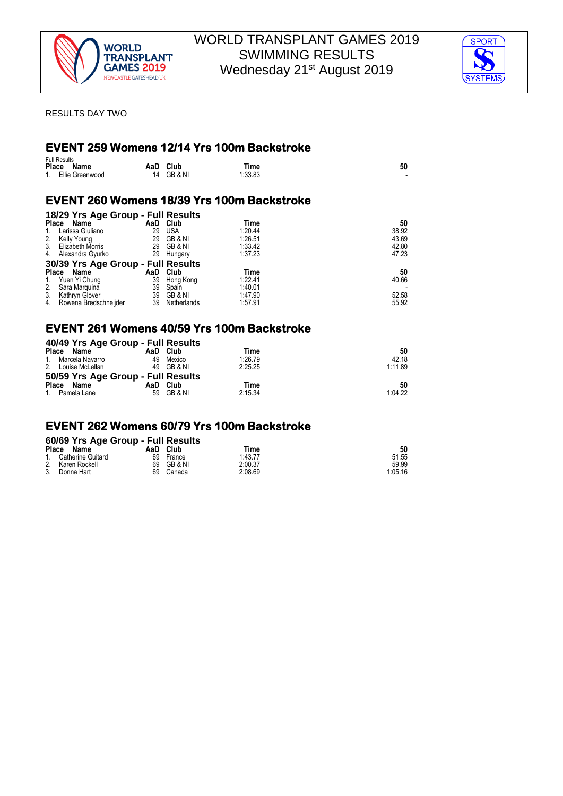



### **EVENT 259 Womens 12/14 Yrs 100m Backstroke**

| <b>Full Results</b>  |     |         |         |    |  |
|----------------------|-----|---------|---------|----|--|
| <b>Place</b><br>Name | AaD | Club    | Time    | 50 |  |
| 1. Ellie Greenwood   | 14  | GB & NI | 1:33.83 |    |  |

## **EVENT 260 Womens 18/39 Yrs 100m Backstroke**

|                | 18/29 Yrs Age Group - Full Results |     |             |         |       |
|----------------|------------------------------------|-----|-------------|---------|-------|
| <b>Place</b>   | Name                               | AaD | Club        | Time    | 50    |
| 1.             | Larissa Giuliano                   | 29  | <b>USA</b>  | 1:20.44 | 38.92 |
| 2.             | Kelly Young                        | 29  | GB & NI     | 1:26.51 | 43.69 |
|                | 3. Elizabeth Morris                | 29  | GB & NI     | 1:33.42 | 42.80 |
| 4.             | Alexandra Gyurko                   | 29  | Hungary     | 1:37.23 | 47.23 |
|                | 30/39 Yrs Age Group - Full Results |     |             |         |       |
| <b>Place</b>   | Name                               | AaD | Club        | Time    | 50    |
| $1_{\cdot}$    | Yuen Yi Chung                      | 39  | Hong Kong   | 1:22.41 | 40.66 |
| 2.             | Sara Marguina                      | 39  | Spain       | 1:40.01 | -     |
| 3 <sub>1</sub> | Kathryn Glover                     | 39  | GB & NI     | 1:47.90 | 52.58 |
|                | 4. Rowena Bredschneijder           | 39  | Netherlands | 1:57.91 | 55.92 |

## **EVENT 261 Womens 40/59 Yrs 100m Backstroke**

|                    | 40/49 Yrs Age Group - Full Results |            |         |         |
|--------------------|------------------------------------|------------|---------|---------|
| Place Name         |                                    | AaD Club   | Time    | 50      |
| 1. Marcela Navarro | 49                                 | Mexico     | 1:26.79 | 42.18   |
| 2. Louise McLellan |                                    | 49 GB & NI | 2:25.25 | 1.11.89 |
|                    | 50/59 Yrs Age Group - Full Results |            |         |         |
| Place Name         |                                    | AaD Club   | Time    | 50      |
| 1. Pamela Lane     |                                    | 59 GB & NI | 2:15.34 | 1:04.22 |

## **EVENT 262 Womens 60/79 Yrs 100m Backstroke**

## **60/69 Yrs Age Group - Full Results**

| <b>Place</b><br>Name             | Club<br>AaD   | Time    | 50      |
|----------------------------------|---------------|---------|---------|
| Catherine Guitard<br>$1_{\cdot}$ | 69<br>France  | 1:43.77 | 51.55   |
| 2.<br>Karen Rockell              | GB & NI<br>69 | 2:00.37 | 59.99   |
| 3.<br>Donna Hart                 | 69<br>Canada  | 2:08.69 | 1:05.16 |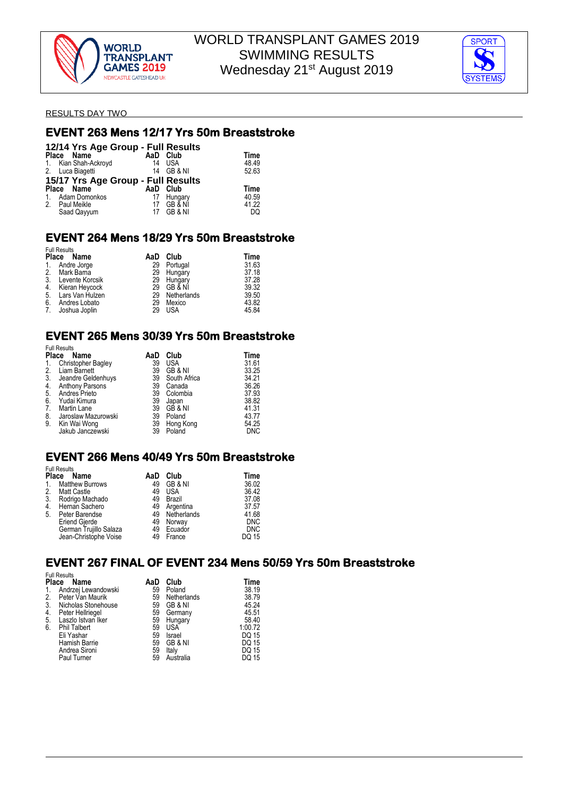



# **EVENT 263 Mens 12/17 Yrs 50m Breaststroke**

|    | 12/14 Yrs Age Group - Full Results |          |            |       |
|----|------------------------------------|----------|------------|-------|
|    | Place Name                         | AaD Club |            | Time  |
|    | 1. Kian Shah-Ackroyd               | 14       | <b>USA</b> | 48.49 |
|    | 2. Luca Biagetti                   |          | 14 GB & NI | 52.63 |
|    | 15/17 Yrs Age Group - Full Results |          |            |       |
|    | Place Name                         | AaD Club |            | Time  |
| 1. | Adam Domonkos                      | 17       | Hungary    | 40.59 |
|    | 2. Paul Meikle                     | 17       | GB & NI    | 41.22 |
|    | Saad Qayyum                        |          | 17 GB & NI | DO    |

### **EVENT 264 Mens 18/29 Yrs 50m Breaststroke**

| <b>Full Results</b> |                 |     |             |       |
|---------------------|-----------------|-----|-------------|-------|
|                     | Place Name      | AaD | Club        | Time  |
| 1.                  | Andre Jorge     | 29  | Portugal    | 31.63 |
| 2.                  | Mark Barna      |     | 29 Hungary  | 37.18 |
| 3.                  | Levente Korcsik |     | 29 Hungary  | 37.28 |
| 4.                  | Kieran Heycock  | 29  | GB & NI     | 39.32 |
| 5.                  | Lars Van Hulzen | 29  | Netherlands | 39.50 |
| 6.                  | Andres Lobato   | 29  | Mexico      | 43.82 |
| 7.                  | Joshua Joplin   | 29  | USA         | 45.84 |

### **EVENT 265 Mens 30/39 Yrs 50m Breaststroke**

|              | <b>Full Results</b>       |     |              |            |  |
|--------------|---------------------------|-----|--------------|------------|--|
| <b>Place</b> | Name                      | AaD | Club         | Time       |  |
| 1.           | <b>Christopher Bagley</b> | 39  | <b>USA</b>   | 31.61      |  |
| 2.           | Liam Barnett              | 39  | GB & NI      | 33.25      |  |
| 3.           | Jeandre Geldenhuys        | 39  | South Africa | 34.21      |  |
| 4.           | <b>Anthony Parsons</b>    | 39  | Canada       | 36.26      |  |
| 5.           | Andres Prieto             | 39  | Colombia     | 37.93      |  |
| 6.           | Yudai Kimura              | 39  | Japan        | 38.82      |  |
| 7.           | <b>Martin Lane</b>        | 39  | GB & NI      | 41.31      |  |
| 8.           | Jaroslaw Mazurowski       | 39  | Poland       | 43.77      |  |
| 9.           | Kin Wai Wong              | 39  | Hong Kong    | 54.25      |  |
|              | Jakub Janczewski          | 39  | Poland       | <b>DNC</b> |  |

### **EVENT 266 Mens 40/49 Yrs 50m Breaststroke**

|    | <b>Full Results</b>    |     |             |            |
|----|------------------------|-----|-------------|------------|
|    | Place Name             | AaD | Club        | Time       |
| 1. | <b>Matthew Burrows</b> | 49  | GB & NI     | 36.02      |
| 2. | Matt Castle            | 49  | <b>USA</b>  | 36.42      |
| 3. | Rodrigo Machado        |     | 49 Brazil   | 37.08      |
| 4. | Hernan Sachero         | 49  | Argentina   | 37.57      |
| 5. | Peter Barendse         | 49  | Netherlands | 41.68      |
|    | Eriend Gjerde          | 49  | Norway      | <b>DNC</b> |
|    | German Trujillo Salaza |     | 49 Ecuador  | <b>DNC</b> |
|    | Jean-Christophe Voise  | 49  | France      | DQ 15      |
|    |                        |     |             |            |

## **EVENT 267 FINAL OF EVENT 234 Mens 50/59 Yrs 50m Breaststroke**

|       | <b>Full Results</b> |     |  |
|-------|---------------------|-----|--|
| Diaco |                     | Nor |  |

| <b>Place</b> | Name                | AaD | Club        | Time    |
|--------------|---------------------|-----|-------------|---------|
| 1.           | Andrzej Lewandowski | 59  | Poland      | 38.19   |
| 2.           | Peter Van Maurik    | 59  | Netherlands | 38.79   |
| 3.           | Nicholas Stonehouse | 59  | GB & NI     | 45.24   |
| 4.           | Peter Hellriegel    | 59  | Germany     | 45.51   |
| 5.           | Laszlo Istvan Iker  | 59  | Hungary     | 58.40   |
| 6.           | <b>Phil Talbert</b> | 59  | <b>USA</b>  | 1:00.72 |
|              | Eli Yashar          | 59  | Israel      | DQ 15   |
|              | Hamish Barrie       | 59  | GB & NI     | DQ 15   |
|              | Andrea Sironi       | 59  | Italy       | DQ 15   |
|              | Paul Turner         | 59  | Australia   | DQ 15   |
|              |                     |     |             |         |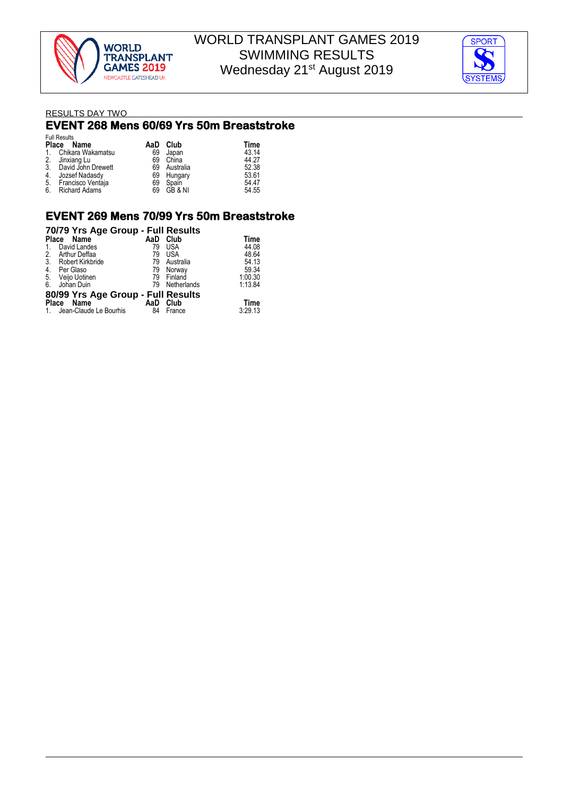



## **EVENT 268 Mens 60/69 Yrs 50m Breaststroke**

|    | <b>Full Results</b>   |     |              |       |
|----|-----------------------|-----|--------------|-------|
|    | Place Name            | AaD | Club         | Time  |
|    | 1. Chikara Wakamatsu  | 69  | Japan        | 43.14 |
|    | 2. Jinxiang Lu        | 69  | China        | 44.27 |
|    | 3. David John Drewett |     | 69 Australia | 52.38 |
| 4. | Jozsef Nadasdy        |     | 69 Hungary   | 53.61 |
|    | 5. Francisco Ventaja  |     | 69 Spain     | 54.47 |
|    | 6. Richard Adams      | 69  | GB & NI      | 54.55 |

# **EVENT 269 Mens 70/99 Yrs 50m Breaststroke**

|              | 70/79 Yrs Age Group - Full Results |     |             |             |  |  |  |  |  |
|--------------|------------------------------------|-----|-------------|-------------|--|--|--|--|--|
| <b>Place</b> | Name                               | AaD | Club        | <b>Time</b> |  |  |  |  |  |
| 1.           | David Landes                       | 79  | <b>USA</b>  | 44.08       |  |  |  |  |  |
| 2.           | Arthur Deffaa                      | 79  | <b>USA</b>  | 48.64       |  |  |  |  |  |
| 3.           | Robert Kirkbride                   | 79  | Australia   | 54.13       |  |  |  |  |  |
| 4.           | Per Glaso                          | 79  | Norway      | 59.34       |  |  |  |  |  |
| 5.           | Veijo Uotinen                      | 79  | Finland     | 1:00.30     |  |  |  |  |  |
| 6.           | Johan Duin                         | 79  | Netherlands | 1:13.84     |  |  |  |  |  |
|              | 80/99 Yrs Age Group - Full Results |     |             |             |  |  |  |  |  |
| <b>Place</b> | Name                               | AaD | Club        | <b>Time</b> |  |  |  |  |  |
|              | 1. Jean-Claude Le Bourhis          | 84  | France      | 3:29.13     |  |  |  |  |  |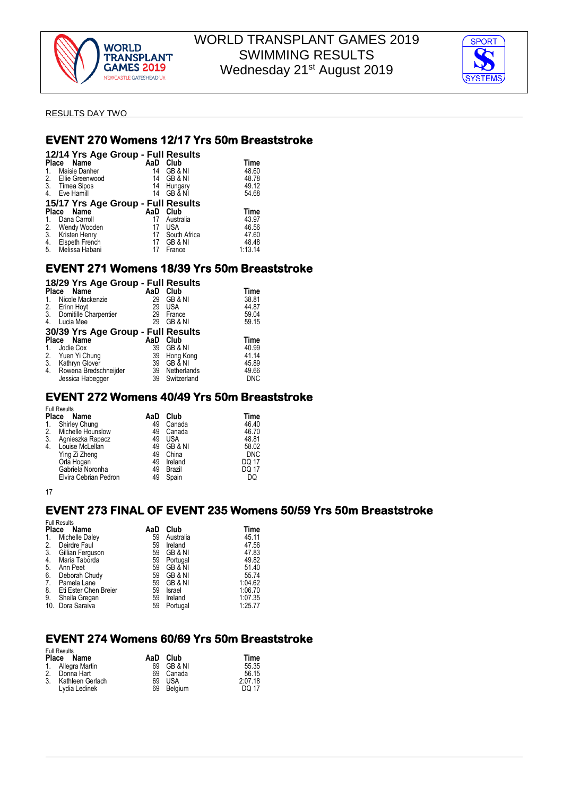



## **EVENT 270 Womens 12/17 Yrs 50m Breaststroke**

|                  | 12/14 Yrs Age Group - Full Results |     |              |         |
|------------------|------------------------------------|-----|--------------|---------|
| <b>Place</b>     | Name                               | AaD | Club         | Time    |
| 1.               | Maisie Danher                      | 14  | GB & NI      | 48.60   |
|                  | 2. Ellie Greenwood                 | 14  | GB & NI      | 48.78   |
|                  | 3. Timea Sipos                     | 14  | Hungary      | 49.12   |
| 4.               | Eve Hamill                         | 14  | GB & NI      | 54.68   |
|                  | 15/17 Yrs Age Group - Full Results |     |              |         |
| Place            | Name                               | AaD | Club         | Time    |
| 1.               | Dana Carroll                       | 17  | Australia    | 43.97   |
| 2.               | Wendy Wooden                       | 17  | <b>USA</b>   | 46.56   |
| $\overline{3}$ . | Kristen Henry                      | 17  | South Africa | 47.60   |
| 4.               | Elspeth French                     | 17  | GB & NI      | 48.48   |
| 5.               | Melissa Habani                     | 17  | France       | 1:13.14 |

## **EVENT 271 Womens 18/39 Yrs 50m Breaststroke**

|                  | 18/29 Yrs Age Group - Full Results |     |                |            |
|------------------|------------------------------------|-----|----------------|------------|
| <b>Place</b>     | Name                               | AaD | Club           | Time       |
| 1.               | Nicole Mackenzie                   | 29  | GB & NI        | 38.81      |
| 2.               | Erinn Hoyt                         | 29  | <b>USA</b>     | 44.87      |
|                  | 3. Domitille Charpentier           | 29  | France         | 59.04      |
| $\overline{4}$ . | Lucia Mee                          | 29  | GB & NI        | 59.15      |
|                  | 30/39 Yrs Age Group - Full Results |     |                |            |
| <b>Place</b>     | Name                               | AaD | Club           | Time       |
| 1.               | Jodie Cox                          | 39  | GB & NI        | 40.99      |
| 2.               | Yuen Yi Chung                      | 39  | Hong Kong      | 41.14      |
| 3.               | Kathryn Glover                     | 39  | GB & NI        | 45.89      |
| 4.               | Rowena Bredschneijder              |     | 39 Netherlands | 49.66      |
|                  | Jessica Habegger                   | 39  | Switzerland    | <b>DNC</b> |

#### **EVENT 272 Womens 40/49 Yrs 50m Breaststroke**

| 1.<br>2.<br>3.<br>4. | <b>Full Results</b><br>Place Name<br>Shirley Chung<br>Michelle Hounslow<br>Agnieszka Rapacz<br>Louise McLellan<br>Ying Zi Zheng | AaD<br>49<br>49<br>49<br>49<br>49 | Club<br>Canada<br>Canada<br><b>USA</b><br>GB & NI<br>China | Time<br>46.40<br>46.70<br>48.81<br>58.02<br><b>DNC</b> |
|----------------------|---------------------------------------------------------------------------------------------------------------------------------|-----------------------------------|------------------------------------------------------------|--------------------------------------------------------|
|                      | Orla Hogan                                                                                                                      | 49                                | Ireland                                                    | <b>DQ 17</b>                                           |
|                      | Gabriela Noronha<br>Elvira Cebrian Pedron                                                                                       | 49<br>49                          | Brazil<br>Spain                                            | <b>DQ 17</b><br>DQ                                     |

17

#### **EVENT 273 FINAL OF EVENT 235 Womens 50/59 Yrs 50m Breaststroke**

| Name          | AaD                                                                                                                                                                                  | Club      | Time    |
|---------------|--------------------------------------------------------------------------------------------------------------------------------------------------------------------------------------|-----------|---------|
|               | 59                                                                                                                                                                                   | Australia | 45.11   |
|               | 59                                                                                                                                                                                   | Ireland   | 47.56   |
|               | 59                                                                                                                                                                                   | GB & NI   | 47.83   |
|               | 59                                                                                                                                                                                   | Portugal  | 49.82   |
|               | 59                                                                                                                                                                                   | GB & NI   | 51.40   |
| Deborah Chudy | 59                                                                                                                                                                                   | GB & NI   | 55.74   |
| Pamela Lane   | 59                                                                                                                                                                                   | GB & NI   | 1:04.62 |
|               | 59                                                                                                                                                                                   | Israel    | 1:06.70 |
|               | 59                                                                                                                                                                                   | Ireland   | 1:07.35 |
|               | 59                                                                                                                                                                                   | Portugal  | 1:25.77 |
|               | <b>Full Results</b><br><b>Place</b><br>Michelle Daley<br>Deirdre Faul<br>Gillian Ferguson<br>Maria Taborda<br>Ann Peet<br>Eti Ester Chen Breier<br>Sheila Gregan<br>10. Dora Saraiva |           |         |

## **EVENT 274 Womens 60/69 Yrs 50m Breaststroke**

| <b>Full Results</b><br>Place Name |                     |    | AaD Club   | Time    |
|-----------------------------------|---------------------|----|------------|---------|
|                                   | 1. Allegra Martin   | 69 | GB & NI    | 55.35   |
|                                   | 2. Donna Hart       |    | 69 Canada  | 5615    |
|                                   | 3. Kathleen Gerlach | 69 | <b>USA</b> | 2:07.18 |
|                                   | Lydia Ledinek       | 69 | Belaium    | DQ 17   |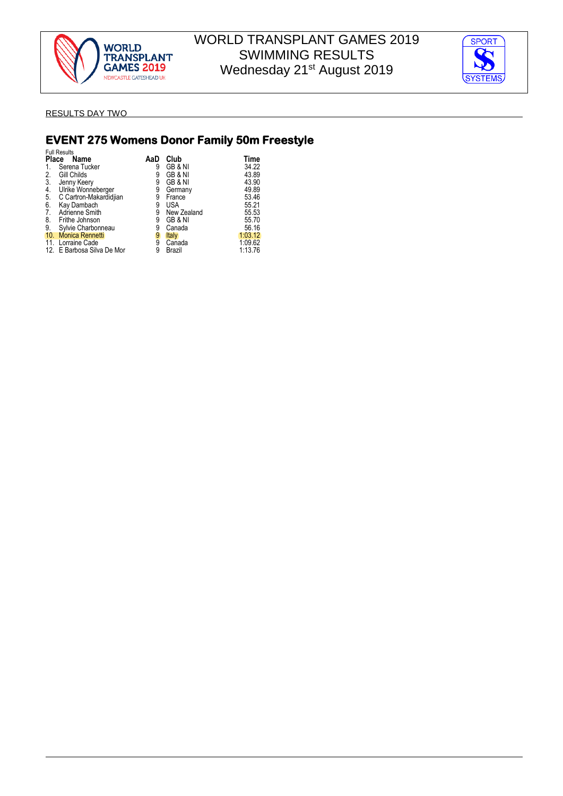



#### **EVENT 275 Womens Donor Family 50m Freestyle**  Full Results

|    | <b>FUIL RESUITS</b>        |     |              |         |
|----|----------------------------|-----|--------------|---------|
|    | Place Name                 | AaD | Club         | Time    |
| 1. | Serena Tucker              | 9   | GB & NI      | 34.22   |
| 2. | Gill Childs                | 9   | GB & NI      | 43.89   |
| 3. | Jenny Keery                | 9   | GB & NI      | 43.90   |
| 4. | Ulrike Wonneberger         | 9   | Germany      | 49.89   |
| 5. | C Cartron-Makardidjian     | 9   | France       | 53.46   |
| 6. | Kay Dambach                | 9   | <b>USA</b>   | 55.21   |
| 7. | Adrienne Smith             | 9   | New Zealand  | 55.53   |
| 8. | Frithe Johnson             | 9   | GB & NI      | 55.70   |
| 9. | Sylvie Charbonneau         | 9   | Canada       | 56.16   |
|    | 10. Monica Rennetti        | 9   | <b>Italy</b> | 1:03.12 |
|    | 11. Lorraine Cade          | 9   | Canada       | 1:09.62 |
|    | 12. E Barbosa Silva De Mor | 9   | Brazil       | 1:13.76 |
|    |                            |     |              |         |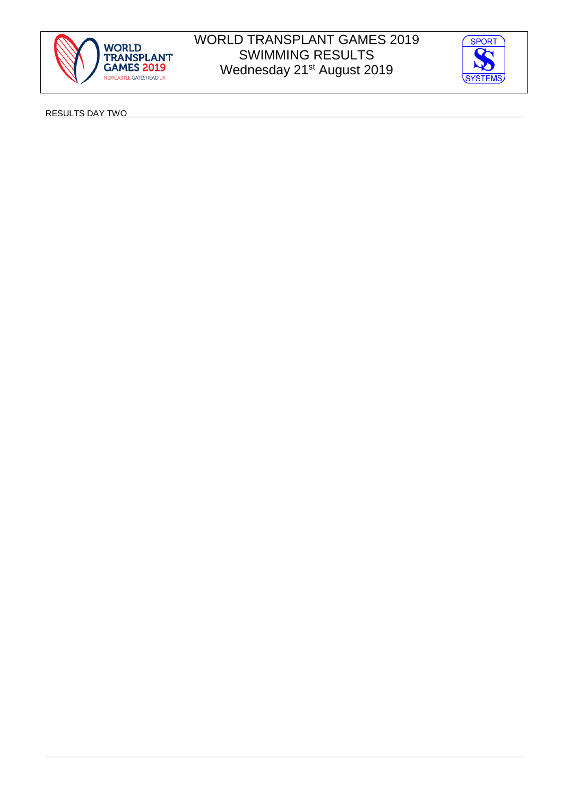